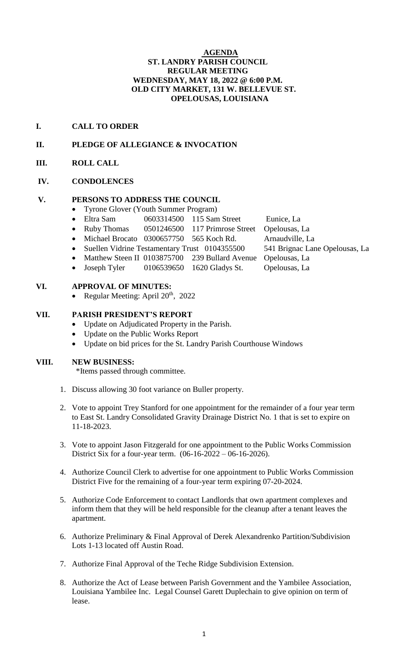### **AGENDA ST. LANDRY PARISH COUNCIL REGULAR MEETING WEDNESDAY, MAY 18, 2022 @ 6:00 P.M. OLD CITY MARKET, 131 W. BELLEVUE ST. OPELOUSAS, LOUISIANA**

# **I. CALL TO ORDER**

# **II. PLEDGE OF ALLEGIANCE & INVOCATION**

**III. ROLL CALL**

### **IV. CONDOLENCES**

### **V. PERSONS TO ADDRESS THE COUNCIL**

- Tyrone Glover (Youth Summer Program)
	- Eltra Sam 0603314500 115 Sam Street Eunice, La
	- Ruby Thomas 0501246500 117 Primrose Street Opelousas, La
	- Michael Brocato 0300657750 565 Koch Rd. Arnaudville, La
	- Suellen Vidrine Testamentary Trust 0104355500 541 Brignac Lane Opelousas, La
	- Matthew Steen II 0103875700 239 Bullard Avenue Opelousas, La
	- Joseph Tyler 0106539650 1620 Gladys St. Opelousas, La

# **VI. APPROVAL OF MINUTES:**

• Regular Meeting: April  $20^{th}$ ,  $2022$ 

# **VII. PARISH PRESIDENT'S REPORT**

- Update on Adjudicated Property in the Parish.
- Update on the Public Works Report
- Update on bid prices for the St. Landry Parish Courthouse Windows

### **VIII. NEW BUSINESS:**

\*Items passed through committee.

- 1. Discuss allowing 30 foot variance on Buller property.
- 2. Vote to appoint Trey Stanford for one appointment for the remainder of a four year term to East St. Landry Consolidated Gravity Drainage District No. 1 that is set to expire on 11-18-2023.
- 3. Vote to appoint Jason Fitzgerald for one appointment to the Public Works Commission District Six for a four-year term. (06-16-2022 – 06-16-2026).
- 4. Authorize Council Clerk to advertise for one appointment to Public Works Commission District Five for the remaining of a four-year term expiring 07-20-2024.
- 5. Authorize Code Enforcement to contact Landlords that own apartment complexes and inform them that they will be held responsible for the cleanup after a tenant leaves the apartment.
- 6. Authorize Preliminary & Final Approval of Derek Alexandrenko Partition/Subdivision Lots 1-13 located off Austin Road.
- 7. Authorize Final Approval of the Teche Ridge Subdivision Extension.
- 8. Authorize the Act of Lease between Parish Government and the Yambilee Association, Louisiana Yambilee Inc. Legal Counsel Garett Duplechain to give opinion on term of lease.
- 
-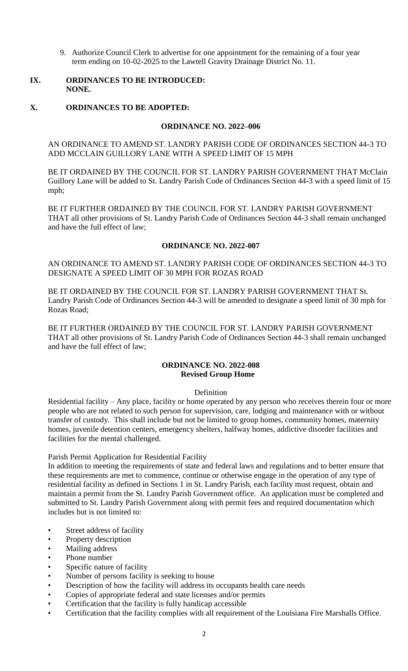9. Authorize Council Clerk to advertise for one appointment for the remaining of a four year term ending on 10-02-2025 to the Lawtell Gravity Drainage District No. 11.

### **IX. ORDINANCES TO BE INTRODUCED: NONE.**

# **X. ORDINANCES TO BE ADOPTED:**

# **ORDINANCE NO. 2022–006**

AN ORDINANCE TO AMEND ST. LANDRY PARISH CODE OF ORDINANCES SECTION 44-3 TO ADD MCCLAIN GUILLORY LANE WITH A SPEED LIMIT OF 15 MPH

BE IT ORDAINED BY THE COUNCIL FOR ST. LANDRY PARISH GOVERNMENT THAT McClain Guillory Lane will be added to St. Landry Parish Code of Ordinances Section 44-3 with a speed limit of 15 mph;

BE IT FURTHER ORDAINED BY THE COUNCIL FOR ST. LANDRY PARISH GOVERNMENT THAT all other provisions of St. Landry Parish Code of Ordinances Section 44-3 shall remain unchanged and have the full effect of law;

### **ORDINANCE NO. 2022-007**

AN ORDINANCE TO AMEND ST. LANDRY PARISH CODE OF ORDINANCES SECTION 44-3 TO DESIGNATE A SPEED LIMIT OF 30 MPH FOR ROZAS ROAD

BE IT ORDAINED BY THE COUNCIL FOR ST. LANDRY PARISH GOVERNMENT THAT St. Landry Parish Code of Ordinances Section 44-3 will be amended to designate a speed limit of 30 mph for Rozas Road;

BE IT FURTHER ORDAINED BY THE COUNCIL FOR ST. LANDRY PARISH GOVERNMENT THAT all other provisions of St. Landry Parish Code of Ordinances Section 44-3 shall remain unchanged and have the full effect of law;

### **ORDINANCE NO. 2022-008 Revised Group Home**

#### Definition

Residential facility – Any place, facility or home operated by any person who receives therein four or more people who are not related to such person for supervision, care, lodging and maintenance with or without transfer of custody. This shall include but not be limited to group homes, community homes, maternity homes, juvenile detention centers, emergency shelters, halfway homes, addictive disorder facilities and facilities for the mental challenged.

### Parish Permit Application for Residential Facility

In addition to meeting the requirements of state and federal laws and regulations and to better ensure that these requirements are met to commence, continue or otherwise engage in the operation of any type of residential facility as defined in Sections 1 in St. Landry Parish, each facility must request, obtain and maintain a permit from the St. Landry Parish Government office. An application must be completed and submitted to St. Landry Parish Government along with permit fees and required documentation which includes but is not limited to:

- Street address of facility
- Property description
- Mailing address
- Phone number
- Specific nature of facility
- Number of persons facility is seeking to house
- Description of how the facility will address its occupants health care needs
- Copies of appropriate federal and state licenses and/or permits
- Certification that the facility is fully handicap accessible
- Certification that the facility complies with all requirement of the Louisiana Fire Marshalls Office.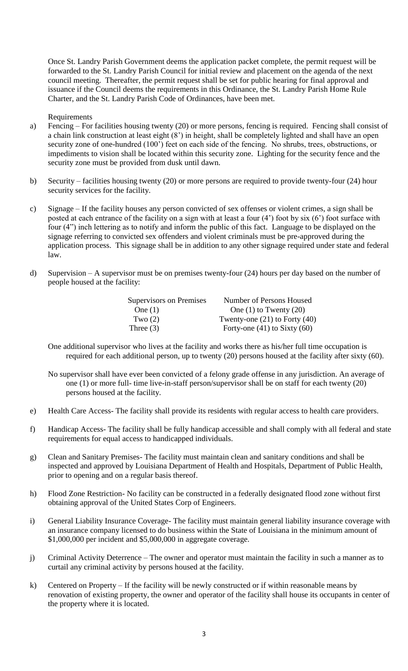Once St. Landry Parish Government deems the application packet complete, the permit request will be forwarded to the St. Landry Parish Council for initial review and placement on the agenda of the next council meeting. Thereafter, the permit request shall be set for public hearing for final approval and issuance if the Council deems the requirements in this Ordinance, the St. Landry Parish Home Rule Charter, and the St. Landry Parish Code of Ordinances, have been met.

Requirements

- a) Fencing For facilities housing twenty (20) or more persons, fencing is required. Fencing shall consist of a chain link construction at least eight (8') in height, shall be completely lighted and shall have an open security zone of one-hundred (100') feet on each side of the fencing. No shrubs, trees, obstructions, or impediments to vision shall be located within this security zone. Lighting for the security fence and the security zone must be provided from dusk until dawn.
- b) Security facilities housing twenty (20) or more persons are required to provide twenty-four (24) hour security services for the facility.
- c) Signage If the facility houses any person convicted of sex offenses or violent crimes, a sign shall be posted at each entrance of the facility on a sign with at least a four (4') foot by six (6') foot surface with four (4") inch lettering as to notify and inform the public of this fact. Language to be displayed on the signage referring to convicted sex offenders and violent criminals must be pre-approved during the application process. This signage shall be in addition to any other signage required under state and federal law.
- d) Supervision A supervisor must be on premises twenty-four (24) hours per day based on the number of people housed at the facility:

| Supervisors on Premises | Number of Persons Housed          |
|-------------------------|-----------------------------------|
| One $(1)$               | One $(1)$ to Twenty $(20)$        |
| Two $(2)$               | Twenty-one $(21)$ to Forty $(40)$ |
| Three $(3)$             | Forty-one $(41)$ to Sixty $(60)$  |

One additional supervisor who lives at the facility and works there as his/her full time occupation is required for each additional person, up to twenty (20) persons housed at the facility after sixty (60).

- No supervisor shall have ever been convicted of a felony grade offense in any jurisdiction. An average of one (1) or more full- time live-in-staff person/supervisor shall be on staff for each twenty (20) persons housed at the facility.
- e) Health Care Access- The facility shall provide its residents with regular access to health care providers.
- f) Handicap Access- The facility shall be fully handicap accessible and shall comply with all federal and state requirements for equal access to handicapped individuals.
- g) Clean and Sanitary Premises- The facility must maintain clean and sanitary conditions and shall be inspected and approved by Louisiana Department of Health and Hospitals, Department of Public Health, prior to opening and on a regular basis thereof.
- h) Flood Zone Restriction- No facility can be constructed in a federally designated flood zone without first obtaining approval of the United States Corp of Engineers.
- i) General Liability Insurance Coverage- The facility must maintain general liability insurance coverage with an insurance company licensed to do business within the State of Louisiana in the minimum amount of \$1,000,000 per incident and \$5,000,000 in aggregate coverage.
- j) Criminal Activity Deterrence The owner and operator must maintain the facility in such a manner as to curtail any criminal activity by persons housed at the facility.
- k) Centered on Property If the facility will be newly constructed or if within reasonable means by renovation of existing property, the owner and operator of the facility shall house its occupants in center of the property where it is located.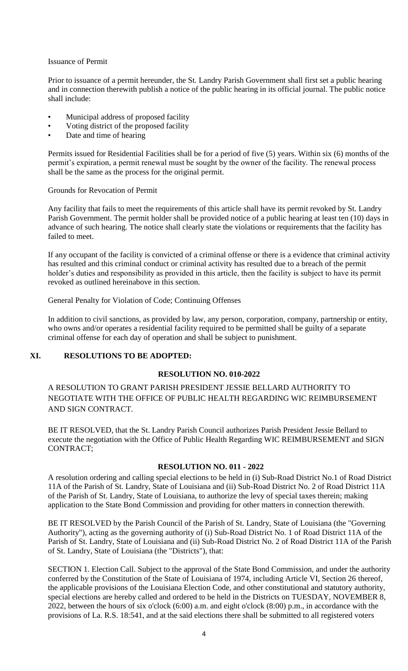#### Issuance of Permit

Prior to issuance of a permit hereunder, the St. Landry Parish Government shall first set a public hearing and in connection therewith publish a notice of the public hearing in its official journal. The public notice shall include:

- Municipal address of proposed facility
- Voting district of the proposed facility
- Date and time of hearing

Permits issued for Residential Facilities shall be for a period of five (5) years. Within six (6) months of the permit's expiration, a permit renewal must be sought by the owner of the facility. The renewal process shall be the same as the process for the original permit.

Grounds for Revocation of Permit

Any facility that fails to meet the requirements of this article shall have its permit revoked by St. Landry Parish Government. The permit holder shall be provided notice of a public hearing at least ten (10) days in advance of such hearing. The notice shall clearly state the violations or requirements that the facility has failed to meet.

If any occupant of the facility is convicted of a criminal offense or there is a evidence that criminal activity has resulted and this criminal conduct or criminal activity has resulted due to a breach of the permit holder's duties and responsibility as provided in this article, then the facility is subject to have its permit revoked as outlined hereinabove in this section.

General Penalty for Violation of Code; Continuing Offenses

In addition to civil sanctions, as provided by law, any person, corporation, company, partnership or entity, who owns and/or operates a residential facility required to be permitted shall be guilty of a separate criminal offense for each day of operation and shall be subject to punishment.

# **XI. RESOLUTIONS TO BE ADOPTED:**

### **RESOLUTION NO. 010-2022**

A RESOLUTION TO GRANT PARISH PRESIDENT JESSIE BELLARD AUTHORITY TO NEGOTIATE WITH THE OFFICE OF PUBLIC HEALTH REGARDING WIC REIMBURSEMENT AND SIGN CONTRACT.

 BE IT RESOLVED, that the St. Landry Parish Council authorizes Parish President Jessie Bellard to execute the negotiation with the Office of Public Health Regarding WIC REIMBURSEMENT and SIGN CONTRACT;

### **RESOLUTION NO. 011 - 2022**

A resolution ordering and calling special elections to be held in (i) Sub-Road District No.1 of Road District 11A of the Parish of St. Landry, State of Louisiana and (ii) Sub-Road District No. 2 of Road District 11A of the Parish of St. Landry, State of Louisiana, to authorize the levy of special taxes therein; making application to the State Bond Commission and providing for other matters in connection therewith.

BE IT RESOLVED by the Parish Council of the Parish of St. Landry, State of Louisiana (the "Governing Authority"), acting as the governing authority of (i) Sub-Road District No. 1 of Road District 11A of the Parish of St. Landry, State of Louisiana and (ii) Sub-Road District No. 2 of Road District 11A of the Parish of St. Landry, State of Louisiana (the "Districts"), that:

SECTION 1. Election Call. Subject to the approval of the State Bond Commission, and under the authority conferred by the Constitution of the State of Louisiana of 1974, including Article VI, Section 26 thereof, the applicable provisions of the Louisiana Election Code, and other constitutional and statutory authority, special elections are hereby called and ordered to be held in the Districts on TUESDAY, NOVEMBER 8, 2022, between the hours of six o'clock (6:00) a.m. and eight o'clock (8:00) p.m., in accordance with the provisions of La. R.S. 18:541, and at the said elections there shall be submitted to all registered voters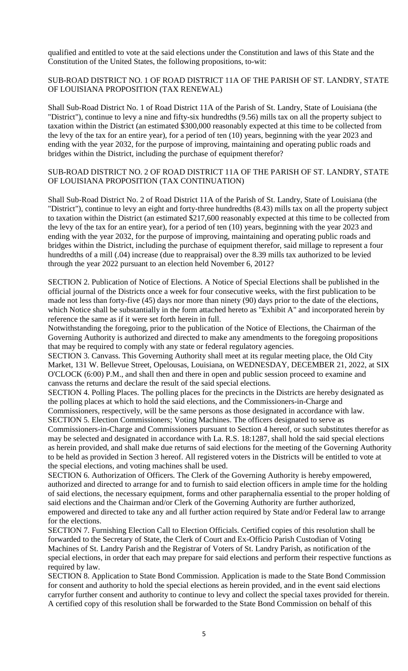qualified and entitled to vote at the said elections under the Constitution and laws of this State and the Constitution of the United States, the following propositions, to-wit:

### SUB-ROAD DISTRICT NO. 1 OF ROAD DISTRICT 11A OF THE PARISH OF ST. LANDRY, STATE OF LOUISIANA PROPOSITION (TAX RENEWAL)

Shall Sub-Road District No. 1 of Road District 11A of the Parish of St. Landry, State of Louisiana (the "District"), continue to levy a nine and fifty-six hundredths (9.56) mills tax on all the property subject to taxation within the District (an estimated \$300,000 reasonably expected at this time to be collected from the levy of the tax for an entire year), for a period of ten (10) years, beginning with the year 2023 and ending with the year 2032, for the purpose of improving, maintaining and operating public roads and bridges within the District, including the purchase of equipment therefor?

#### SUB-ROAD DISTRICT NO. 2 OF ROAD DISTRICT 11A OF THE PARISH OF ST. LANDRY, STATE OF LOUISIANA PROPOSITION (TAX CONTINUATION)

Shall Sub-Road District No. 2 of Road District 11A of the Parish of St. Landry, State of Louisiana (the "District"), continue to levy an eight and forty-three hundredths (8.43) mills tax on all the property subject to taxation within the District (an estimated \$217,600 reasonably expected at this time to be collected from the levy of the tax for an entire year), for a period of ten (10) years, beginning with the year 2023 and ending with the year 2032, for the purpose of improving, maintaining and operating public roads and bridges within the District, including the purchase of equipment therefor, said millage to represent a four hundredths of a mill (.04) increase (due to reappraisal) over the 8.39 mills tax authorized to be levied through the year 2022 pursuant to an election held November 6, 2012?

SECTION 2. Publication of Notice of Elections. A Notice of Special Elections shall be published in the official journal of the Districts once a week for four consecutive weeks, with the first publication to be made not less than forty-five (45) days nor more than ninety (90) days prior to the date of the elections, which Notice shall be substantially in the form attached hereto as "Exhibit A" and incorporated herein by reference the same as if it were set forth herein in full.

Notwithstanding the foregoing, prior to the publication of the Notice of Elections, the Chairman of the Governing Authority is authorized and directed to make any amendments to the foregoing propositions that may be required to comply with any state or federal regulatory agencies.

SECTION 3. Canvass. This Governing Authority shall meet at its regular meeting place, the Old City Market, 131 W. Bellevue Street, Opelousas, Louisiana, on WEDNESDAY, DECEMBER 21, 2022, at SIX O'CLOCK (6:00) P.M., and shall then and there in open and public session proceed to examine and canvass the returns and declare the result of the said special elections.

SECTION 4. Polling Places. The polling places for the precincts in the Districts are hereby designated as the polling places at which to hold the said elections, and the Commissioners-in-Charge and Commissioners, respectively, will be the same persons as those designated in accordance with law.

SECTION 5. Election Commissioners; Voting Machines. The officers designated to serve as Commissioners-in-Charge and Commissioners pursuant to Section 4 hereof, or such substitutes therefor as may be selected and designated in accordance with La. R.S. 18:1287, shall hold the said special elections as herein provided, and shall make due returns of said elections for the meeting of the Governing Authority to be held as provided in Section 3 hereof. All registered voters in the Districts will be entitled to vote at the special elections, and voting machines shall be used.

SECTION 6. Authorization of Officers. The Clerk of the Governing Authority is hereby empowered, authorized and directed to arrange for and to furnish to said election officers in ample time for the holding of said elections, the necessary equipment, forms and other paraphernalia essential to the proper holding of said elections and the Chairman and/or Clerk of the Governing Authority are further authorized, empowered and directed to take any and all further action required by State and/or Federal law to arrange for the elections.

SECTION 7. Furnishing Election Call to Election Officials. Certified copies of this resolution shall be forwarded to the Secretary of State, the Clerk of Court and Ex-Officio Parish Custodian of Voting Machines of St. Landry Parish and the Registrar of Voters of St. Landry Parish, as notification of the special elections, in order that each may prepare for said elections and perform their respective functions as required by law.

SECTION 8. Application to State Bond Commission. Application is made to the State Bond Commission for consent and authority to hold the special elections as herein provided, and in the event said elections carryfor further consent and authority to continue to levy and collect the special taxes provided for therein. A certified copy of this resolution shall be forwarded to the State Bond Commission on behalf of this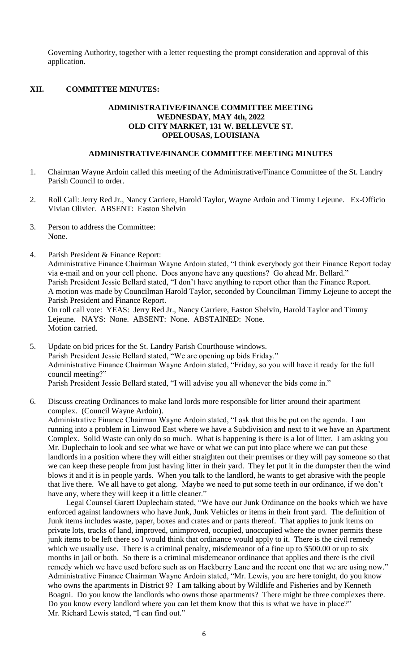Governing Authority, together with a letter requesting the prompt consideration and approval of this application.

# **XII. COMMITTEE MINUTES:**

#### **ADMINISTRATIVE/FINANCE COMMITTEE MEETING WEDNESDAY, MAY 4th, 2022 OLD CITY MARKET, 131 W. BELLEVUE ST. OPELOUSAS, LOUISIANA**

#### **ADMINISTRATIVE/FINANCE COMMITTEE MEETING MINUTES**

- 1. Chairman Wayne Ardoin called this meeting of the Administrative/Finance Committee of the St. Landry Parish Council to order.
- 2. Roll Call: Jerry Red Jr., Nancy Carriere, Harold Taylor, Wayne Ardoin and Timmy Lejeune. Ex-Officio Vivian Olivier. ABSENT: Easton Shelvin
- 3. Person to address the Committee: None.
- 4. Parish President & Finance Report: Administrative Finance Chairman Wayne Ardoin stated, "I think everybody got their Finance Report today via e-mail and on your cell phone. Does anyone have any questions? Go ahead Mr. Bellard." Parish President Jessie Bellard stated, "I don't have anything to report other than the Finance Report. A motion was made by Councilman Harold Taylor, seconded by Councilman Timmy Lejeune to accept the Parish President and Finance Report. On roll call vote: YEAS: Jerry Red Jr., Nancy Carriere, Easton Shelvin, Harold Taylor and Timmy Lejeune. NAYS: None. ABSENT: None. ABSTAINED: None. Motion carried.
- 5. Update on bid prices for the St. Landry Parish Courthouse windows. Parish President Jessie Bellard stated, "We are opening up bids Friday." Administrative Finance Chairman Wayne Ardoin stated, "Friday, so you will have it ready for the full council meeting?" Parish President Jessie Bellard stated, "I will advise you all whenever the bids come in."
- 6. Discuss creating Ordinances to make land lords more responsible for litter around their apartment complex. (Council Wayne Ardoin).

Administrative Finance Chairman Wayne Ardoin stated, "I ask that this be put on the agenda. I am running into a problem in Linwood East where we have a Subdivision and next to it we have an Apartment Complex. Solid Waste can only do so much. What is happening is there is a lot of litter. I am asking you Mr. Duplechain to look and see what we have or what we can put into place where we can put these landlords in a position where they will either straighten out their premises or they will pay someone so that we can keep these people from just having litter in their yard. They let put it in the dumpster then the wind blows it and it is in people yards. When you talk to the landlord, he wants to get abrasive with the people that live there. We all have to get along. Maybe we need to put some teeth in our ordinance, if we don't have any, where they will keep it a little cleaner."

Legal Counsel Garett Duplechain stated, "We have our Junk Ordinance on the books which we have enforced against landowners who have Junk, Junk Vehicles or items in their front yard. The definition of Junk items includes waste, paper, boxes and crates and or parts thereof. That applies to junk items on private lots, tracks of land, improved, unimproved, occupied, unoccupied where the owner permits these junk items to be left there so I would think that ordinance would apply to it. There is the civil remedy which we usually use. There is a criminal penalty, misdemeanor of a fine up to \$500.00 or up to six months in jail or both. So there is a criminal misdemeanor ordinance that applies and there is the civil remedy which we have used before such as on Hackberry Lane and the recent one that we are using now." Administrative Finance Chairman Wayne Ardoin stated, "Mr. Lewis, you are here tonight, do you know who owns the apartments in District 9? I am talking about by Wildlife and Fisheries and by Kenneth Boagni. Do you know the landlords who owns those apartments? There might be three complexes there. Do you know every landlord where you can let them know that this is what we have in place?" Mr. Richard Lewis stated, "I can find out."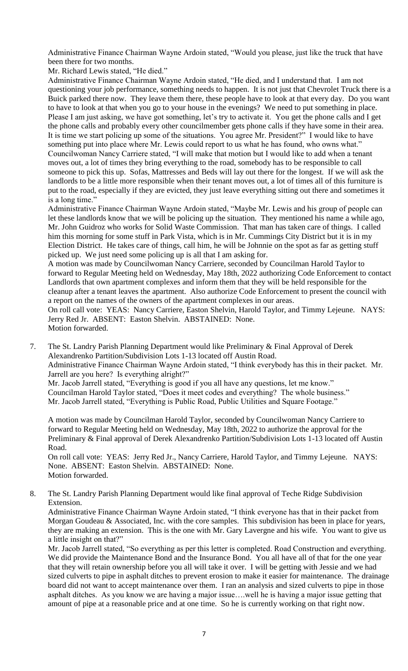Administrative Finance Chairman Wayne Ardoin stated, "Would you please, just like the truck that have been there for two months.

Mr. Richard Lewis stated, "He died."

Administrative Finance Chairman Wayne Ardoin stated, "He died, and I understand that. I am not questioning your job performance, something needs to happen. It is not just that Chevrolet Truck there is a Buick parked there now. They leave them there, these people have to look at that every day. Do you want to have to look at that when you go to your house in the evenings? We need to put something in place. Please I am just asking, we have got something, let's try to activate it. You get the phone calls and I get the phone calls and probably every other councilmember gets phone calls if they have some in their area. It is time we start policing up some of the situations. You agree Mr. President?" I would like to have something put into place where Mr. Lewis could report to us what he has found, who owns what." Councilwoman Nancy Carriere stated, "I will make that motion but I would like to add when a tenant moves out, a lot of times they bring everything to the road, somebody has to be responsible to call someone to pick this up. Sofas, Mattresses and Beds will lay out there for the longest. If we will ask the landlords to be a little more responsible when their tenant moves out, a lot of times all of this furniture is put to the road, especially if they are evicted, they just leave everything sitting out there and sometimes it is a long time."

Administrative Finance Chairman Wayne Ardoin stated, "Maybe Mr. Lewis and his group of people can let these landlords know that we will be policing up the situation. They mentioned his name a while ago, Mr. John Guidroz who works for Solid Waste Commission. That man has taken care of things. I called him this morning for some stuff in Park Vista, which is in Mr. Cummings City District but it is in my Election District. He takes care of things, call him, he will be Johnnie on the spot as far as getting stuff picked up. We just need some policing up is all that I am asking for.

A motion was made by Councilwoman Nancy Carriere, seconded by Councilman Harold Taylor to forward to Regular Meeting held on Wednesday, May 18th, 2022 authorizing Code Enforcement to contact Landlords that own apartment complexes and inform them that they will be held responsible for the cleanup after a tenant leaves the apartment. Also authorize Code Enforcement to present the council with a report on the names of the owners of the apartment complexes in our areas.

On roll call vote: YEAS: Nancy Carriere, Easton Shelvin, Harold Taylor, and Timmy Lejeune. NAYS: Jerry Red Jr. ABSENT: Easton Shelvin. ABSTAINED: None. Motion forwarded.

7. The St. Landry Parish Planning Department would like Preliminary & Final Approval of Derek Alexandrenko Partition/Subdivision Lots 1-13 located off Austin Road. Administrative Finance Chairman Wayne Ardoin stated, "I think everybody has this in their packet. Mr. Jarrell are you here? Is everything alright?" Mr. Jacob Jarrell stated, "Everything is good if you all have any questions, let me know."

Councilman Harold Taylor stated, "Does it meet codes and everything? The whole business." Mr. Jacob Jarrell stated, "Everything is Public Road, Public Utilities and Square Footage."

A motion was made by Councilman Harold Taylor, seconded by Councilwoman Nancy Carriere to forward to Regular Meeting held on Wednesday, May 18th, 2022 to authorize the approval for the Preliminary & Final approval of Derek Alexandrenko Partition/Subdivision Lots 1-13 located off Austin Road.

On roll call vote: YEAS: Jerry Red Jr., Nancy Carriere, Harold Taylor, and Timmy Lejeune. NAYS: None. ABSENT: Easton Shelvin. ABSTAINED: None. Motion forwarded.

8. The St. Landry Parish Planning Department would like final approval of Teche Ridge Subdivision Extension.

Administrative Finance Chairman Wayne Ardoin stated, "I think everyone has that in their packet from Morgan Goudeau & Associated, Inc. with the core samples. This subdivision has been in place for years, they are making an extension. This is the one with Mr. Gary Lavergne and his wife. You want to give us a little insight on that?"

Mr. Jacob Jarrell stated, "So everything as per this letter is completed. Road Construction and everything. We did provide the Maintenance Bond and the Insurance Bond. You all have all of that for the one year that they will retain ownership before you all will take it over. I will be getting with Jessie and we had sized culverts to pipe in asphalt ditches to prevent erosion to make it easier for maintenance. The drainage board did not want to accept maintenance over them. I ran an analysis and sized culverts to pipe in those asphalt ditches. As you know we are having a major issue….well he is having a major issue getting that amount of pipe at a reasonable price and at one time. So he is currently working on that right now.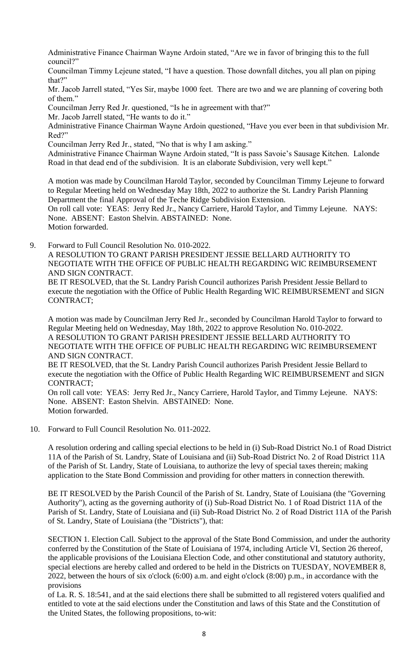Administrative Finance Chairman Wayne Ardoin stated, "Are we in favor of bringing this to the full council?"

Councilman Timmy Lejeune stated, "I have a question. Those downfall ditches, you all plan on piping that?"

Mr. Jacob Jarrell stated, "Yes Sir, maybe 1000 feet. There are two and we are planning of covering both of them."

Councilman Jerry Red Jr. questioned, "Is he in agreement with that?"

Mr. Jacob Jarrell stated, "He wants to do it."

Administrative Finance Chairman Wayne Ardoin questioned, "Have you ever been in that subdivision Mr. Red?"

Councilman Jerry Red Jr., stated, "No that is why I am asking."

Administrative Finance Chairman Wayne Ardoin stated, "It is pass Savoie's Sausage Kitchen. Lalonde Road in that dead end of the subdivision. It is an elaborate Subdivision, very well kept."

A motion was made by Councilman Harold Taylor, seconded by Councilman Timmy Lejeune to forward to Regular Meeting held on Wednesday May 18th, 2022 to authorize the St. Landry Parish Planning Department the final Approval of the Teche Ridge Subdivision Extension.

On roll call vote: YEAS: Jerry Red Jr., Nancy Carriere, Harold Taylor, and Timmy Lejeune. NAYS: None. ABSENT: Easton Shelvin. ABSTAINED: None.

Motion forwarded.

9. Forward to Full Council Resolution No. 010-2022.

A RESOLUTION TO GRANT PARISH PRESIDENT JESSIE BELLARD AUTHORITY TO NEGOTIATE WITH THE OFFICE OF PUBLIC HEALTH REGARDING WIC REIMBURSEMENT AND SIGN CONTRACT.

BE IT RESOLVED, that the St. Landry Parish Council authorizes Parish President Jessie Bellard to execute the negotiation with the Office of Public Health Regarding WIC REIMBURSEMENT and SIGN CONTRACT;

A motion was made by Councilman Jerry Red Jr., seconded by Councilman Harold Taylor to forward to Regular Meeting held on Wednesday, May 18th, 2022 to approve Resolution No. 010-2022. A RESOLUTION TO GRANT PARISH PRESIDENT JESSIE BELLARD AUTHORITY TO NEGOTIATE WITH THE OFFICE OF PUBLIC HEALTH REGARDING WIC REIMBURSEMENT AND SIGN CONTRACT.

BE IT RESOLVED, that the St. Landry Parish Council authorizes Parish President Jessie Bellard to execute the negotiation with the Office of Public Health Regarding WIC REIMBURSEMENT and SIGN CONTRACT;

On roll call vote: YEAS: Jerry Red Jr., Nancy Carriere, Harold Taylor, and Timmy Lejeune. NAYS: None. ABSENT: Easton Shelvin. ABSTAINED: None. Motion forwarded.

10. Forward to Full Council Resolution No. 011-2022.

A resolution ordering and calling special elections to be held in (i) Sub-Road District No.1 of Road District 11A of the Parish of St. Landry, State of Louisiana and (ii) Sub-Road District No. 2 of Road District 11A of the Parish of St. Landry, State of Louisiana, to authorize the levy of special taxes therein; making application to the State Bond Commission and providing for other matters in connection therewith.

BE IT RESOLVED by the Parish Council of the Parish of St. Landry, State of Louisiana (the "Governing Authority"), acting as the governing authority of (i) Sub-Road District No. 1 of Road District 11A of the Parish of St. Landry, State of Louisiana and (ii) Sub-Road District No. 2 of Road District 11A of the Parish of St. Landry, State of Louisiana (the "Districts"), that:

SECTION 1. Election Call. Subject to the approval of the State Bond Commission, and under the authority conferred by the Constitution of the State of Louisiana of 1974, including Article VI, Section 26 thereof, the applicable provisions of the Louisiana Election Code, and other constitutional and statutory authority, special elections are hereby called and ordered to be held in the Districts on TUESDAY, NOVEMBER 8, 2022, between the hours of six o'clock (6:00) a.m. and eight o'clock (8:00) p.m., in accordance with the provisions

of La. R. S. 18:541, and at the said elections there shall be submitted to all registered voters qualified and entitled to vote at the said elections under the Constitution and laws of this State and the Constitution of the United States, the following propositions, to-wit: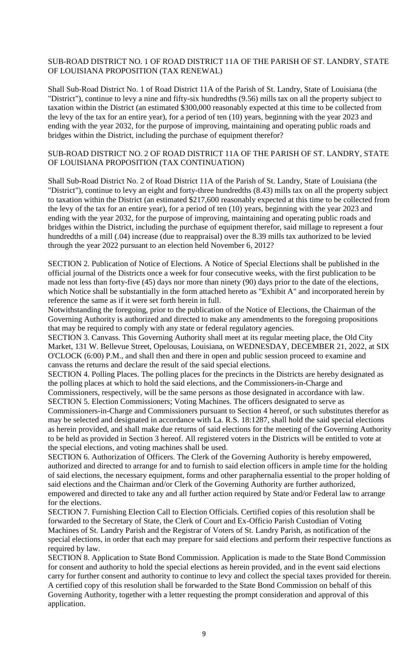# SUB-ROAD DISTRICT NO. 1 OF ROAD DISTRICT 11A OF THE PARISH OF ST. LANDRY, STATE OF LOUISIANA PROPOSITION (TAX RENEWAL)

Shall Sub-Road District No. 1 of Road District 11A of the Parish of St. Landry, State of Louisiana (the "District"), continue to levy a nine and fifty-six hundredths (9.56) mills tax on all the property subject to taxation within the District (an estimated \$300,000 reasonably expected at this time to be collected from the levy of the tax for an entire year), for a period of ten (10) years, beginning with the year 2023 and ending with the year 2032, for the purpose of improving, maintaining and operating public roads and bridges within the District, including the purchase of equipment therefor?

#### SUB-ROAD DISTRICT NO. 2 OF ROAD DISTRICT 11A OF THE PARISH OF ST. LANDRY, STATE OF LOUISIANA PROPOSITION (TAX CONTINUATION)

Shall Sub-Road District No. 2 of Road District 11A of the Parish of St. Landry, State of Louisiana (the "District"), continue to levy an eight and forty-three hundredths (8.43) mills tax on all the property subject to taxation within the District (an estimated \$217,600 reasonably expected at this time to be collected from the levy of the tax for an entire year), for a period of ten (10) years, beginning with the year 2023 and ending with the year 2032, for the purpose of improving, maintaining and operating public roads and bridges within the District, including the purchase of equipment therefor, said millage to represent a four hundredths of a mill (.04) increase (due to reappraisal) over the 8.39 mills tax authorized to be levied through the year 2022 pursuant to an election held November 6, 2012?

SECTION 2. Publication of Notice of Elections. A Notice of Special Elections shall be published in the official journal of the Districts once a week for four consecutive weeks, with the first publication to be made not less than forty-five (45) days nor more than ninety (90) days prior to the date of the elections, which Notice shall be substantially in the form attached hereto as "Exhibit A" and incorporated herein by reference the same as if it were set forth herein in full.

Notwithstanding the foregoing, prior to the publication of the Notice of Elections, the Chairman of the Governing Authority is authorized and directed to make any amendments to the foregoing propositions that may be required to comply with any state or federal regulatory agencies.

SECTION 3. Canvass. This Governing Authority shall meet at its regular meeting place, the Old City Market, 131 W. Bellevue Street, Opelousas, Louisiana, on WEDNESDAY, DECEMBER 21, 2022, at SIX O'CLOCK (6:00) P.M., and shall then and there in open and public session proceed to examine and canvass the returns and declare the result of the said special elections.

SECTION 4. Polling Places. The polling places for the precincts in the Districts are hereby designated as the polling places at which to hold the said elections, and the Commissioners-in-Charge and Commissioners, respectively, will be the same persons as those designated in accordance with law.

SECTION 5. Election Commissioners; Voting Machines. The officers designated to serve as Commissioners-in-Charge and Commissioners pursuant to Section 4 hereof, or such substitutes therefor as may be selected and designated in accordance with La. R.S. 18:1287, shall hold the said special elections as herein provided, and shall make due returns of said elections for the meeting of the Governing Authority to be held as provided in Section 3 hereof. All registered voters in the Districts will be entitled to vote at the special elections, and voting machines shall be used.

SECTION 6. Authorization of Officers. The Clerk of the Governing Authority is hereby empowered, authorized and directed to arrange for and to furnish to said election officers in ample time for the holding of said elections, the necessary equipment, forms and other paraphernalia essential to the proper holding of said elections and the Chairman and/or Clerk of the Governing Authority are further authorized, empowered and directed to take any and all further action required by State and/or Federal law to arrange for the elections.

SECTION 7. Furnishing Election Call to Election Officials. Certified copies of this resolution shall be forwarded to the Secretary of State, the Clerk of Court and Ex-Officio Parish Custodian of Voting Machines of St. Landry Parish and the Registrar of Voters of St. Landry Parish, as notification of the special elections, in order that each may prepare for said elections and perform their respective functions as required by law.

SECTION 8. Application to State Bond Commission. Application is made to the State Bond Commission for consent and authority to hold the special elections as herein provided, and in the event said elections carry for further consent and authority to continue to levy and collect the special taxes provided for therein. A certified copy of this resolution shall be forwarded to the State Bond Commission on behalf of this Governing Authority, together with a letter requesting the prompt consideration and approval of this application.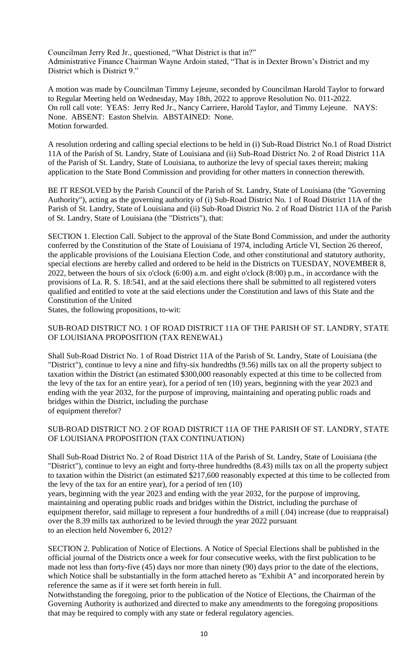Councilman Jerry Red Jr., questioned, "What District is that in?" Administrative Finance Chairman Wayne Ardoin stated, "That is in Dexter Brown's District and my District which is District 9."

A motion was made by Councilman Timmy Lejeune, seconded by Councilman Harold Taylor to forward to Regular Meeting held on Wednesday, May 18th, 2022 to approve Resolution No. 011-2022. On roll call vote: YEAS: Jerry Red Jr., Nancy Carriere, Harold Taylor, and Timmy Lejeune. NAYS: None. ABSENT: Easton Shelvin. ABSTAINED: None. Motion forwarded.

A resolution ordering and calling special elections to be held in (i) Sub-Road District No.1 of Road District 11A of the Parish of St. Landry, State of Louisiana and (ii) Sub-Road District No. 2 of Road District 11A of the Parish of St. Landry, State of Louisiana, to authorize the levy of special taxes therein; making application to the State Bond Commission and providing for other matters in connection therewith.

BE IT RESOLVED by the Parish Council of the Parish of St. Landry, State of Louisiana (the "Governing Authority"), acting as the governing authority of (i) Sub-Road District No. 1 of Road District 11A of the Parish of St. Landry, State of Louisiana and (ii) Sub-Road District No. 2 of Road District 11A of the Parish of St. Landry, State of Louisiana (the "Districts"), that:

SECTION 1. Election Call. Subject to the approval of the State Bond Commission, and under the authority conferred by the Constitution of the State of Louisiana of 1974, including Article VI, Section 26 thereof, the applicable provisions of the Louisiana Election Code, and other constitutional and statutory authority, special elections are hereby called and ordered to be held in the Districts on TUESDAY, NOVEMBER 8, 2022, between the hours of six o'clock (6:00) a.m. and eight o'clock (8:00) p.m., in accordance with the provisions of La. R. S. 18:541, and at the said elections there shall be submitted to all registered voters qualified and entitled to vote at the said elections under the Constitution and laws of this State and the Constitution of the United

States, the following propositions, to-wit:

# SUB-ROAD DISTRICT NO. 1 OF ROAD DISTRICT 11A OF THE PARISH OF ST. LANDRY, STATE OF LOUISIANA PROPOSITION (TAX RENEWAL)

Shall Sub-Road District No. 1 of Road District 11A of the Parish of St. Landry, State of Louisiana (the "District"), continue to levy a nine and fifty-six hundredths (9.56) mills tax on all the property subject to taxation within the District (an estimated \$300,000 reasonably expected at this time to be collected from the levy of the tax for an entire year), for a period of ten (10) years, beginning with the year 2023 and ending with the year 2032, for the purpose of improving, maintaining and operating public roads and bridges within the District, including the purchase of equipment therefor?

### SUB-ROAD DISTRICT NO. 2 OF ROAD DISTRICT 11A OF THE PARISH OF ST. LANDRY, STATE OF LOUISIANA PROPOSITION (TAX CONTINUATION)

Shall Sub-Road District No. 2 of Road District 11A of the Parish of St. Landry, State of Louisiana (the "District"), continue to levy an eight and forty-three hundredths (8.43) mills tax on all the property subject to taxation within the District (an estimated \$217,600 reasonably expected at this time to be collected from the levy of the tax for an entire year), for a period of ten (10)

years, beginning with the year 2023 and ending with the year 2032, for the purpose of improving, maintaining and operating public roads and bridges within the District, including the purchase of equipment therefor, said millage to represent a four hundredths of a mill (.04) increase (due to reappraisal) over the 8.39 mills tax authorized to be levied through the year 2022 pursuant to an election held November 6, 2012?

SECTION 2. Publication of Notice of Elections. A Notice of Special Elections shall be published in the official journal of the Districts once a week for four consecutive weeks, with the first publication to be made not less than forty-five (45) days nor more than ninety (90) days prior to the date of the elections, which Notice shall be substantially in the form attached hereto as "Exhibit A" and incorporated herein by reference the same as if it were set forth herein in full.

Notwithstanding the foregoing, prior to the publication of the Notice of Elections, the Chairman of the Governing Authority is authorized and directed to make any amendments to the foregoing propositions that may be required to comply with any state or federal regulatory agencies.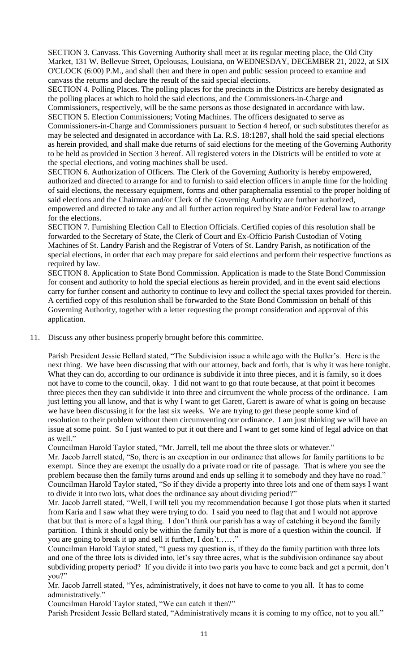SECTION 3. Canvass. This Governing Authority shall meet at its regular meeting place, the Old City Market, 131 W. Bellevue Street, Opelousas, Louisiana, on WEDNESDAY, DECEMBER 21, 2022, at SIX O'CLOCK (6:00) P.M., and shall then and there in open and public session proceed to examine and canvass the returns and declare the result of the said special elections.

SECTION 4. Polling Places. The polling places for the precincts in the Districts are hereby designated as the polling places at which to hold the said elections, and the Commissioners-in-Charge and Commissioners, respectively, will be the same persons as those designated in accordance with law. SECTION 5. Election Commissioners; Voting Machines. The officers designated to serve as

Commissioners-in-Charge and Commissioners pursuant to Section 4 hereof, or such substitutes therefor as may be selected and designated in accordance with La. R.S. 18:1287, shall hold the said special elections as herein provided, and shall make due returns of said elections for the meeting of the Governing Authority to be held as provided in Section 3 hereof. All registered voters in the Districts will be entitled to vote at the special elections, and voting machines shall be used.

SECTION 6. Authorization of Officers. The Clerk of the Governing Authority is hereby empowered, authorized and directed to arrange for and to furnish to said election officers in ample time for the holding of said elections, the necessary equipment, forms and other paraphernalia essential to the proper holding of said elections and the Chairman and/or Clerk of the Governing Authority are further authorized, empowered and directed to take any and all further action required by State and/or Federal law to arrange for the elections.

SECTION 7. Furnishing Election Call to Election Officials. Certified copies of this resolution shall be forwarded to the Secretary of State, the Clerk of Court and Ex-Officio Parish Custodian of Voting Machines of St. Landry Parish and the Registrar of Voters of St. Landry Parish, as notification of the special elections, in order that each may prepare for said elections and perform their respective functions as required by law.

SECTION 8. Application to State Bond Commission. Application is made to the State Bond Commission for consent and authority to hold the special elections as herein provided, and in the event said elections carry for further consent and authority to continue to levy and collect the special taxes provided for therein. A certified copy of this resolution shall be forwarded to the State Bond Commission on behalf of this Governing Authority, together with a letter requesting the prompt consideration and approval of this application.

11. Discuss any other business properly brought before this committee.

Parish President Jessie Bellard stated, "The Subdivision issue a while ago with the Buller's. Here is the next thing. We have been discussing that with our attorney, back and forth, that is why it was here tonight. What they can do, according to our ordinance is subdivide it into three pieces, and it is family, so it does not have to come to the council, okay. I did not want to go that route because, at that point it becomes three pieces then they can subdivide it into three and circumvent the whole process of the ordinance. I am just letting you all know, and that is why I want to get Garett, Garett is aware of what is going on because we have been discussing it for the last six weeks. We are trying to get these people some kind of resolution to their problem without them circumventing our ordinance. I am just thinking we will have an issue at some point. So I just wanted to put it out there and I want to get some kind of legal advice on that as well."

Councilman Harold Taylor stated, "Mr. Jarrell, tell me about the three slots or whatever."

Mr. Jacob Jarrell stated, "So, there is an exception in our ordinance that allows for family partitions to be exempt. Since they are exempt the usually do a private road or rite of passage. That is where you see the problem because then the family turns around and ends up selling it to somebody and they have no road." Councilman Harold Taylor stated, "So if they divide a property into three lots and one of them says I want to divide it into two lots, what does the ordinance say about dividing period?"

Mr. Jacob Jarrell stated, "Well, I will tell you my recommendation because I got those plats when it started from Karia and I saw what they were trying to do. I said you need to flag that and I would not approve that but that is more of a legal thing. I don't think our parish has a way of catching it beyond the family partition. I think it should only be within the family but that is more of a question within the council. If you are going to break it up and sell it further, I don't……"

Councilman Harold Taylor stated, "I guess my question is, if they do the family partition with three lots and one of the three lots is divided into, let's say three acres, what is the subdivision ordinance say about subdividing property period? If you divide it into two parts you have to come back and get a permit, don't you?"

Mr. Jacob Jarrell stated, "Yes, administratively, it does not have to come to you all. It has to come administratively."

Councilman Harold Taylor stated, "We can catch it then?"

Parish President Jessie Bellard stated, "Administratively means it is coming to my office, not to you all."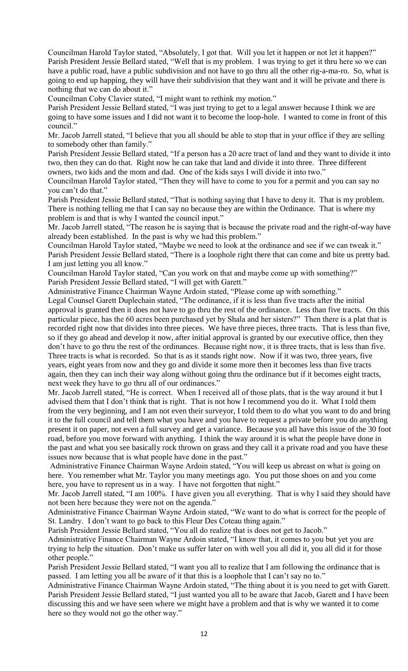Councilman Harold Taylor stated, "Absolutely, I got that. Will you let it happen or not let it happen?" Parish President Jessie Bellard stated, "Well that is my problem. I was trying to get it thru here so we can have a public road, have a public subdivision and not have to go thru all the other rig-a-ma-ro. So, what is going to end up happing, they will have their subdivision that they want and it will be private and there is nothing that we can do about it."

Councilman Coby Clavier stated, "I might want to rethink my motion."

Parish President Jessie Bellard stated, "I was just trying to get to a legal answer because I think we are going to have some issues and I did not want it to become the loop-hole. I wanted to come in front of this council."

Mr. Jacob Jarrell stated, "I believe that you all should be able to stop that in your office if they are selling to somebody other than family."

Parish President Jessie Bellard stated, "If a person has a 20 acre tract of land and they want to divide it into two, then they can do that. Right now he can take that land and divide it into three. Three different owners, two kids and the mom and dad. One of the kids says I will divide it into two."

Councilman Harold Taylor stated, "Then they will have to come to you for a permit and you can say no you can't do that."

Parish President Jessie Bellard stated, "That is nothing saying that I have to deny it. That is my problem. There is nothing telling me that I can say no because they are within the Ordinance. That is where my problem is and that is why I wanted the council input."

Mr. Jacob Jarrell stated, "The reason he is saying that is because the private road and the right-of-way have already been established. In the past is why we had this problem."

Councilman Harold Taylor stated, "Maybe we need to look at the ordinance and see if we can tweak it." Parish President Jessie Bellard stated, "There is a loophole right there that can come and bite us pretty bad. I am just letting you all know."

Councilman Harold Taylor stated, "Can you work on that and maybe come up with something?" Parish President Jessie Bellard stated, "I will get with Garett."

Administrative Finance Chairman Wayne Ardoin stated, "Please come up with something."

Legal Counsel Garett Duplechain stated, "The ordinance, if it is less than five tracts after the initial approval is granted then it does not have to go thru the rest of the ordinance. Less than five tracts. On this particular piece, has the 60 acres been purchased yet by Shala and her sisters?" Then there is a plat that is recorded right now that divides into three pieces. We have three pieces, three tracts. That is less than five, so if they go ahead and develop it now, after initial approval is granted by our executive office, then they don't have to go thru the rest of the ordinances. Because right now, it is three tracts, that is less than five. Three tracts is what is recorded. So that is as it stands right now. Now if it was two, three years, five years, eight years from now and they go and divide it some more then it becomes less than five tracts again, then they can inch their way along without going thru the ordinance but if it becomes eight tracts, next week they have to go thru all of our ordinances."

Mr. Jacob Jarrell stated, "He is correct. When I received all of those plats, that is the way around it but I advised them that I don't think that is right. That is not how I recommend you do it. What I told them from the very beginning, and I am not even their surveyor, I told them to do what you want to do and bring it to the full council and tell them what you have and you have to request a private before you do anything present it on paper, not even a full survey and get a variance. Because you all have this issue of the 30 foot road, before you move forward with anything. I think the way around it is what the people have done in the past and what you see basically rock thrown on grass and they call it a private road and you have these issues now because that is what people have done in the past."

Administrative Finance Chairman Wayne Ardoin stated, "You will keep us abreast on what is going on here. You remember what Mr. Taylor you many meetings ago. You put those shoes on and you come here, you have to represent us in a way. I have not forgotten that night."

Mr. Jacob Jarrell stated, "I am 100%. I have given you all everything. That is why I said they should have not been here because they were not on the agenda."

Administrative Finance Chairman Wayne Ardoin stated, "We want to do what is correct for the people of St. Landry. I don't want to go back to this Fleur Des Coteau thing again."

Parish President Jessie Bellard stated, "You all do realize that is does not get to Jacob."

Administrative Finance Chairman Wayne Ardoin stated, "I know that, it comes to you but yet you are trying to help the situation. Don't make us suffer later on with well you all did it, you all did it for those other people."

Parish President Jessie Bellard stated, "I want you all to realize that I am following the ordinance that is passed. I am letting you all be aware of it that this is a loophole that I can't say no to."

Administrative Finance Chairman Wayne Ardoin stated, "The thing about it is you need to get with Garett. Parish President Jessie Bellard stated, "I just wanted you all to be aware that Jacob, Garett and I have been discussing this and we have seen where we might have a problem and that is why we wanted it to come here so they would not go the other way."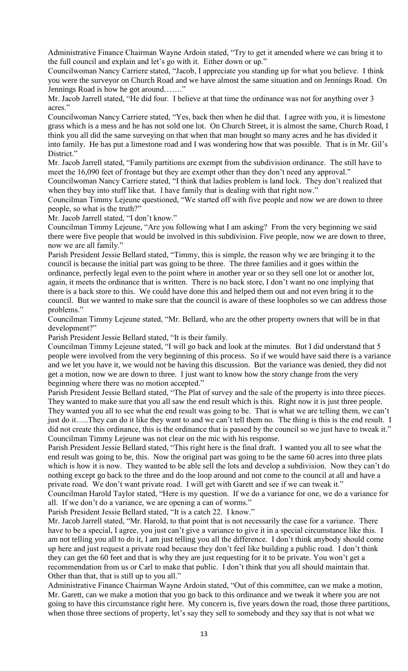Administrative Finance Chairman Wayne Ardoin stated, "Try to get it amended where we can bring it to the full council and explain and let's go with it. Either down or up."

Councilwoman Nancy Carriere stated, "Jacob, I appreciate you standing up for what you believe. I think you were the surveyor on Church Road and we have almost the same situation and on Jennings Road. On Jennings Road is how he got around……."

Mr. Jacob Jarrell stated, "He did four. I believe at that time the ordinance was not for anything over 3 acres."

Councilwoman Nancy Carriere stated, "Yes, back then when he did that. I agree with you, it is limestone grass which is a mess and he has not sold one lot. On Church Street, it is almost the same, Church Road, I think you all did the same surveying on that when that man bought so many acres and he has divided it into family. He has put a limestone road and I was wondering how that was possible. That is in Mr. Gil's District."

Mr. Jacob Jarrell stated, "Family partitions are exempt from the subdivision ordinance. The still have to meet the 16,090 feet of frontage but they are exempt other than they don't need any approval."

Councilwoman Nancy Carriere stated, "I think that ladies problem is land lock. They don't realized that when they buy into stuff like that. I have family that is dealing with that right now."

Councilman Timmy Lejeune questioned, "We started off with five people and now we are down to three people, so what is the truth?"

Mr. Jacob Jarrell stated, "I don't know."

Councilman Timmy Lejeune, "Are you following what I am asking? From the very beginning we said there were five people that would be involved in this subdivision. Five people, now we are down to three, now we are all family."

Parish President Jessie Bellard stated, "Timmy, this is simple, the reason why we are bringing it to the council is because the initial part was going to be three. The three families and it goes within the ordinance, perfectly legal even to the point where in another year or so they sell one lot or another lot, again, it meets the ordinance that is written. There is no back store, I don't want no one implying that there is a back store to this. We could have done this and helped them out and not even bring it to the council. But we wanted to make sure that the council is aware of these loopholes so we can address those problems."

Councilman Timmy Lejeune stated, "Mr. Bellard, who are the other property owners that will be in that development?"

Parish President Jessie Bellard stated, "It is their family.

Councilman Timmy Lejeune stated, "I will go back and look at the minutes. But I did understand that 5 people were involved from the very beginning of this process. So if we would have said there is a variance and we let you have it, we would not be having this discussion. But the variance was denied, they did not get a motion, now we are down to three. I just want to know how the story change from the very beginning where there was no motion accepted."

Parish President Jessie Bellard stated, "The Plat of survey and the sale of the property is into three pieces. They wanted to make sure that you all saw the end result which is this. Right now it is just three people. They wanted you all to see what the end result was going to be. That is what we are telling them, we can't just do it…..They can do it like they want to and we can't tell them no. The thing is this is the end result. I did not create this ordinance, this is the ordinance that is passed by the council so we just have to tweak it." Councilman Timmy Lejeune was not clear on the mic with his response.

Parish President Jessie Bellard stated, "This right here is the final draft. I wanted you all to see what the end result was going to be, this. Now the original part was going to be the same 60 acres into three plats which is how it is now. They wanted to be able sell the lots and develop a subdivision. Now they can't do nothing except go back to the three and do the loop around and not come to the council at all and have a private road. We don't want private road. I will get with Garett and see if we can tweak it."

Councilman Harold Taylor stated, "Here is my question. If we do a variance for one, we do a variance for all. If we don't do a variance, we are opening a can of worms."

Parish President Jessie Bellard stated, "It is a catch 22. I know."

Mr. Jacob Jarrell stated, "Mr. Harold, to that point that is not necessarily the case for a variance. There have to be a special, I agree, you just can't give a variance to give it in a special circumstance like this. I am not telling you all to do it, I am just telling you all the difference. I don't think anybody should come up here and just request a private road because they don't feel like building a public road. I don't think they can get the 60 feet and that is why they are just requesting for it to be private. You won't get a recommendation from us or Carl to make that public. I don't think that you all should maintain that. Other than that, that is still up to you all."

Administrative Finance Chairman Wayne Ardoin stated, "Out of this committee, can we make a motion, Mr. Garett, can we make a motion that you go back to this ordinance and we tweak it where you are not going to have this circumstance right here. My concern is, five years down the road, those three partitions, when those three sections of property, let's say they sell to somebody and they say that is not what we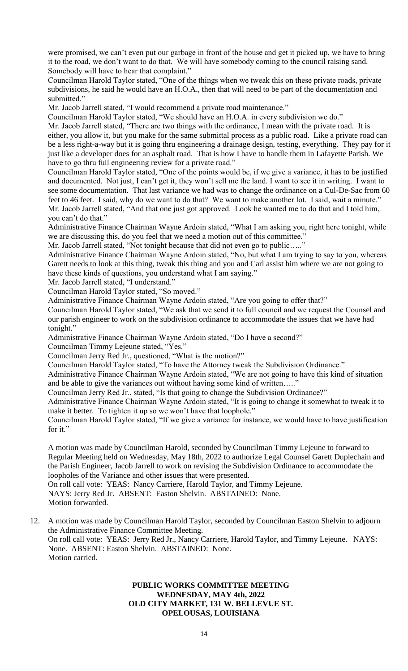were promised, we can't even put our garbage in front of the house and get it picked up, we have to bring it to the road, we don't want to do that. We will have somebody coming to the council raising sand. Somebody will have to hear that complaint."

Councilman Harold Taylor stated, "One of the things when we tweak this on these private roads, private subdivisions, he said he would have an H.O.A., then that will need to be part of the documentation and submitted."

Mr. Jacob Jarrell stated, "I would recommend a private road maintenance."

Councilman Harold Taylor stated, "We should have an H.O.A. in every subdivision we do."

Mr. Jacob Jarrell stated, "There are two things with the ordinance, I mean with the private road. It is either, you allow it, but you make for the same submittal process as a public road. Like a private road can be a less right-a-way but it is going thru engineering a drainage design, testing, everything. They pay for it just like a developer does for an asphalt road. That is how I have to handle them in Lafayette Parish. We have to go thru full engineering review for a private road."

Councilman Harold Taylor stated, "One of the points would be, if we give a variance, it has to be justified and documented. Not just, I can't get it, they won't sell me the land. I want to see it in writing. I want to see some documentation. That last variance we had was to change the ordinance on a Cul-De-Sac from 60 feet to 46 feet. I said, why do we want to do that? We want to make another lot. I said, wait a minute." Mr. Jacob Jarrell stated, "And that one just got approved. Look he wanted me to do that and I told him, you can't do that."

Administrative Finance Chairman Wayne Ardoin stated, "What I am asking you, right here tonight, while we are discussing this, do you feel that we need a motion out of this committee."

Mr. Jacob Jarrell stated, "Not tonight because that did not even go to public....."

Administrative Finance Chairman Wayne Ardoin stated, "No, but what I am trying to say to you, whereas Garett needs to look at this thing, tweak this thing and you and Carl assist him where we are not going to have these kinds of questions, you understand what I am saying."

Mr. Jacob Jarrell stated, "I understand."

Councilman Harold Taylor stated, "So moved."

Administrative Finance Chairman Wayne Ardoin stated, "Are you going to offer that?"

Councilman Harold Taylor stated, "We ask that we send it to full council and we request the Counsel and our parish engineer to work on the subdivision ordinance to accommodate the issues that we have had tonight."

Administrative Finance Chairman Wayne Ardoin stated, "Do I have a second?"

Councilman Timmy Lejeune stated, "Yes."

Councilman Jerry Red Jr., questioned, "What is the motion?"

Councilman Harold Taylor stated, "To have the Attorney tweak the Subdivision Ordinance."

Administrative Finance Chairman Wayne Ardoin stated, "We are not going to have this kind of situation and be able to give the variances out without having some kind of written….."

Councilman Jerry Red Jr., stated, "Is that going to change the Subdivision Ordinance?"

Administrative Finance Chairman Wayne Ardoin stated, "It is going to change it somewhat to tweak it to make it better. To tighten it up so we won't have that loophole."

Councilman Harold Taylor stated, "If we give a variance for instance, we would have to have justification for it."

A motion was made by Councilman Harold, seconded by Councilman Timmy Lejeune to forward to Regular Meeting held on Wednesday, May 18th, 2022 to authorize Legal Counsel Garett Duplechain and the Parish Engineer, Jacob Jarrell to work on revising the Subdivision Ordinance to accommodate the loopholes of the Variance and other issues that were presented.

On roll call vote: YEAS: Nancy Carriere, Harold Taylor, and Timmy Lejeune. NAYS: Jerry Red Jr. ABSENT: Easton Shelvin. ABSTAINED: None. Motion forwarded.

12. A motion was made by Councilman Harold Taylor, seconded by Councilman Easton Shelvin to adjourn the Administrative Finance Committee Meeting. On roll call vote: YEAS: Jerry Red Jr., Nancy Carriere, Harold Taylor, and Timmy Lejeune. NAYS: None. ABSENT: Easton Shelvin. ABSTAINED: None. Motion carried.

# **PUBLIC WORKS COMMITTEE MEETING WEDNESDAY, MAY 4th, 2022 OLD CITY MARKET, 131 W. BELLEVUE ST. OPELOUSAS, LOUISIANA**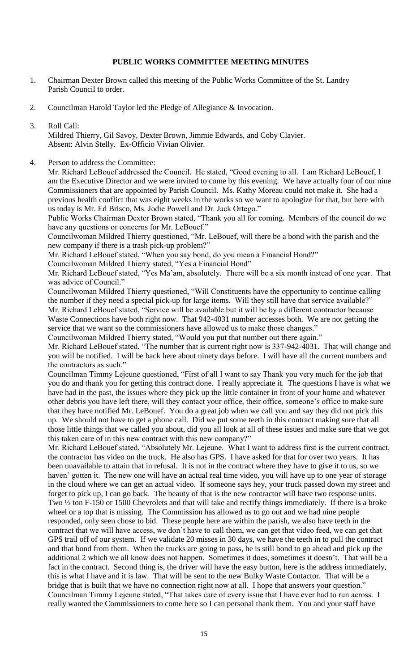# **PUBLIC WORKS COMMITTEE MEETING MINUTES**

- 1. Chairman Dexter Brown called this meeting of the Public Works Committee of the St. Landry Parish Council to order.
- 2. Councilman Harold Taylor led the Pledge of Allegiance & Invocation.
- 3. Roll Call:

Mildred Thierry, Gil Savoy, Dexter Brown, Jimmie Edwards, and Coby Clavier. Absent: Alvin Stelly. Ex-Officio Vivian Olivier.

4. Person to address the Committee:

Mr. Richard LeBouef addressed the Council. He stated, "Good evening to all. I am Richard LeBouef, I am the Executive Director and we were invited to come by this evening. We have actually four of our nine Commissioners that are appointed by Parish Council. Ms. Kathy Moreau could not make it. She had a previous health conflict that was eight weeks in the works so we want to apologize for that, but here with us today is Mr. Ed Brisco, Ms. Jodie Powell and Dr. Jack Ortego."

Public Works Chairman Dexter Brown stated, "Thank you all for coming. Members of the council do we have any questions or concerns for Mr. LeBouef."

Councilwoman Mildred Thierry questioned, "Mr. LeBouef, will there be a bond with the parish and the new company if there is a trash pick-up problem?"

Mr. Richard LeBouef stated, "When you say bond, do you mean a Financial Bond?"

Councilwoman Mildred Thierry stated, "Yes a Financial Bond"

Mr. Richard LeBouef stated, "Yes Ma'am, absolutely. There will be a six month instead of one year. That was advice of Council."

Councilwoman Mildred Thierry questioned, "Will Constituents have the opportunity to continue calling the number if they need a special pick-up for large items. Will they still have that service available?" Mr. Richard LeBouef stated, "Service will be available but it will be by a different contractor because Waste Connections have both right now. That 942-4031 number accesses both. We are not getting the service that we want so the commissioners have allowed us to make those changes."

Councilwoman Mildred Thierry stated, "Would you put that number out there again."

Mr. Richard LeBouef stated, "The number that is current right now is 337-942-4031. That will change and you will be notified. I will be back here about ninety days before. I will have all the current numbers and the contractors as such."

Councilman Timmy Lejeune questioned, "First of all I want to say Thank you very much for the job that you do and thank you for getting this contract done. I really appreciate it. The questions I have is what we have had in the past, the issues where they pick up the little container in front of your home and whatever other debris you have left there, will they contact your office, their office, someone's office to make sure that they have notified Mr. LeBouef. You do a great job when we call you and say they did not pick this up. We should not have to get a phone call. Did we put some teeth in this contract making sure that all those little things that we called you about, did you all look at all of these issues and make sure that we got this taken care of in this new contract with this new company?"

Mr. Richard LeBouef stated, "Absolutely Mr. Lejeune. What I want to address first is the current contract, the contractor has video on the truck. He also has GPS. I have asked for that for over two years. It has been unavailable to attain that in refusal. It is not in the contract where they have to give it to us, so we haven' gotten it. The new one will have an actual real time video, you will have up to one year of storage in the cloud where we can get an actual video. If someone says hey, your truck passed down my street and forget to pick up, I can go back. The beauty of that is the new contractor will have two response units. Two ½ ton F-150 or 1500 Chevrolets and that will take and rectify things immediately. If there is a broke wheel or a top that is missing. The Commission has allowed us to go out and we had nine people responded, only seen chose to bid. These people here are within the parish, we also have teeth in the contract that we will have access, we don't have to call them, we can get that video feed, we can get that GPS trail off of our system. If we validate 20 misses in 30 days, we have the teeth in to pull the contract and that bond from them. When the trucks are going to pass, he is still bond to go ahead and pick up the additional 2 which we all know does not happen. Sometimes it does, sometimes it doesn't. That will be a fact in the contract. Second thing is, the driver will have the easy button, here is the address immediately, this is what I have and it is law. That will be sent to the new Bulky Waste Contactor. That will be a bridge that is built that we have no connection right now at all. I hope that answers your question." Councilman Timmy Lejeune stated, "That takes care of every issue that I have ever had to run across. I really wanted the Commissioners to come here so I can personal thank them. You and your staff have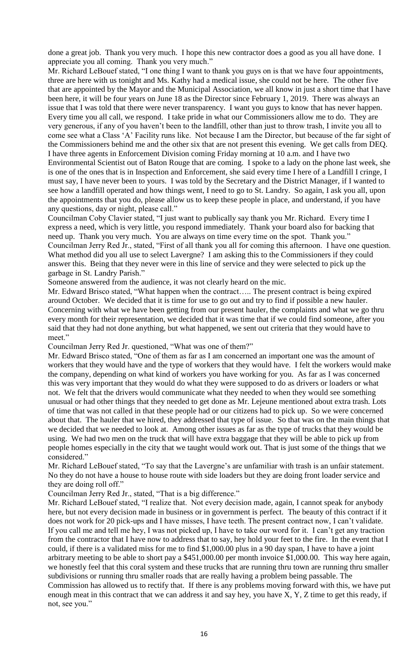done a great job. Thank you very much. I hope this new contractor does a good as you all have done. I appreciate you all coming. Thank you very much."

Mr. Richard LeBouef stated, "I one thing I want to thank you guys on is that we have four appointments, three are here with us tonight and Ms. Kathy had a medical issue, she could not be here. The other five that are appointed by the Mayor and the Municipal Association, we all know in just a short time that I have been here, it will be four years on June 18 as the Director since February 1, 2019. There was always an issue that I was told that there were never transparency. I want you guys to know that has never happen. Every time you all call, we respond. I take pride in what our Commissioners allow me to do. They are very generous, if any of you haven't been to the landfill, other than just to throw trash, I invite you all to come see what a Class 'A' Facility runs like. Not because I am the Director, but because of the far sight of the Commissioners behind me and the other six that are not present this evening. We get calls from DEQ. I have three agents in Enforcement Division coming Friday morning at 10 a.m. and I have two Environmental Scientist out of Baton Rouge that are coming. I spoke to a lady on the phone last week, she is one of the ones that is in Inspection and Enforcement, she said every time I here of a Landfill I cringe, I must say, I have never been to yours. I was told by the Secretary and the District Manager, if I wanted to see how a landfill operated and how things went, I need to go to St. Landry. So again, I ask you all, upon the appointments that you do, please allow us to keep these people in place, and understand, if you have any questions, day or night, please call."

Councilman Coby Clavier stated, "I just want to publically say thank you Mr. Richard. Every time I express a need, which is very little, you respond immediately. Thank your board also for backing that need up. Thank you very much. You are always on time every time on the spot. Thank you." Councilman Jerry Red Jr., stated, "First of all thank you all for coming this afternoon. I have one question. What method did you all use to select Lavergne? I am asking this to the Commissioners if they could answer this. Being that they never were in this line of service and they were selected to pick up the garbage in St. Landry Parish."

Someone answered from the audience, it was not clearly heard on the mic.

Mr. Edward Brisco stated, "What happen when the contract….. The present contract is being expired around October. We decided that it is time for use to go out and try to find if possible a new hauler. Concerning with what we have been getting from our present hauler, the complaints and what we go thru every month for their representation, we decided that it was time that if we could find someone, after you said that they had not done anything, but what happened, we sent out criteria that they would have to meet."

Councilman Jerry Red Jr. questioned, "What was one of them?"

Mr. Edward Brisco stated, "One of them as far as I am concerned an important one was the amount of workers that they would have and the type of workers that they would have. I felt the workers would make the company, depending on what kind of workers you have working for you. As far as I was concerned this was very important that they would do what they were supposed to do as drivers or loaders or what not. We felt that the drivers would communicate what they needed to when they would see something unusual or had other things that they needed to get done as Mr. Lejeune mentioned about extra trash. Lots of time that was not called in that these people had or our citizens had to pick up. So we were concerned about that. The hauler that we hired, they addressed that type of issue. So that was on the main things that we decided that we needed to look at. Among other issues as far as the type of trucks that they would be using. We had two men on the truck that will have extra baggage that they will be able to pick up from people homes especially in the city that we taught would work out. That is just some of the things that we considered."

Mr. Richard LeBouef stated, "To say that the Lavergne's are unfamiliar with trash is an unfair statement. No they do not have a house to house route with side loaders but they are doing front loader service and they are doing roll off."

Councilman Jerry Red Jr., stated, "That is a big difference."

Mr. Richard LeBouef stated, "I realize that. Not every decision made, again, I cannot speak for anybody here, but not every decision made in business or in government is perfect. The beauty of this contract if it does not work for 20 pick-ups and I have misses, I have teeth. The present contract now, I can't validate. If you call me and tell me hey, I was not picked up, I have to take our word for it. I can't get any traction from the contractor that I have now to address that to say, hey hold your feet to the fire. In the event that I could, if there is a validated miss for me to find \$1,000.00 plus in a 90 day span, I have to have a joint arbitrary meeting to be able to short pay a \$451,000.00 per month invoice \$1,000.00. This way here again, we honestly feel that this coral system and these trucks that are running thru town are running thru smaller subdivisions or running thru smaller roads that are really having a problem being passable. The Commission has allowed us to rectify that. If there is any problems moving forward with this, we have put enough meat in this contract that we can address it and say hey, you have X, Y, Z time to get this ready, if not, see you."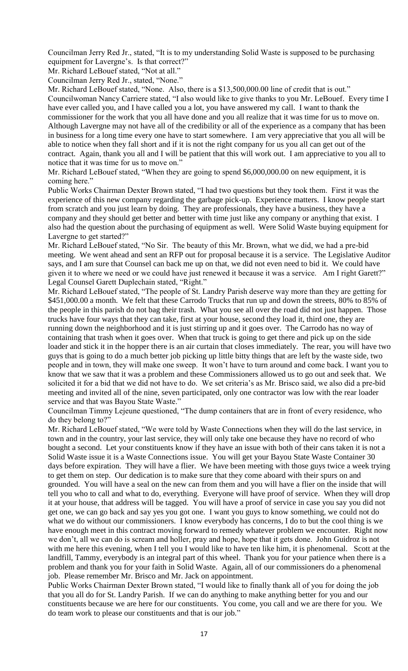Councilman Jerry Red Jr., stated, "It is to my understanding Solid Waste is supposed to be purchasing equipment for Lavergne's. Is that correct?"

Mr. Richard LeBouef stated, "Not at all."

Councilman Jerry Red Jr., stated, "None."

Mr. Richard LeBouef stated, "None. Also, there is a \$13,500,000.00 line of credit that is out." Councilwoman Nancy Carriere stated, "I also would like to give thanks to you Mr. LeBouef. Every time I have ever called you, and I have called you a lot, you have answered my call. I want to thank the commissioner for the work that you all have done and you all realize that it was time for us to move on. Although Lavergne may not have all of the credibility or all of the experience as a company that has been in business for a long time every one have to start somewhere. I am very appreciative that you all will be able to notice when they fall short and if it is not the right company for us you all can get out of the contract. Again, thank you all and I will be patient that this will work out. I am appreciative to you all to notice that it was time for us to move on."

Mr. Richard LeBouef stated, "When they are going to spend \$6,000,000.00 on new equipment, it is coming here."

Public Works Chairman Dexter Brown stated, "I had two questions but they took them. First it was the experience of this new company regarding the garbage pick-up. Experience matters. I know people start from scratch and you just learn by doing. They are professionals, they have a business, they have a company and they should get better and better with time just like any company or anything that exist. I also had the question about the purchasing of equipment as well. Were Solid Waste buying equipment for Lavergne to get started?"

Mr. Richard LeBouef stated, "No Sir. The beauty of this Mr. Brown, what we did, we had a pre-bid meeting. We went ahead and sent an RFP out for proposal because it is a service. The Legislative Auditor says, and I am sure that Counsel can back me up on that, we did not even need to bid it. We could have given it to where we need or we could have just renewed it because it was a service. Am I right Garett?" Legal Counsel Garett Duplechain stated, "Right."

Mr. Richard LeBouef stated, "The people of St. Landry Parish deserve way more than they are getting for \$451,000.00 a month. We felt that these Carrodo Trucks that run up and down the streets, 80% to 85% of the people in this parish do not bag their trash. What you see all over the road did not just happen. Those trucks have four ways that they can take, first at your house, second they load it, third one, they are running down the neighborhood and it is just stirring up and it goes over. The Carrodo has no way of containing that trash when it goes over. When that truck is going to get there and pick up on the side loader and stick it in the hopper there is an air curtain that closes immediately. The rear, you will have two guys that is going to do a much better job picking up little bitty things that are left by the waste side, two people and in town, they will make one sweep. It won't have to turn around and come back. I want you to know that we saw that it was a problem and these Commissioners allowed us to go out and seek that. We solicited it for a bid that we did not have to do. We set criteria's as Mr. Brisco said, we also did a pre-bid meeting and invited all of the nine, seven participated, only one contractor was low with the rear loader service and that was Bayou State Waste."

Councilman Timmy Lejeune questioned, "The dump containers that are in front of every residence, who do they belong to?"

Mr. Richard LeBouef stated, "We were told by Waste Connections when they will do the last service, in town and in the country, your last service, they will only take one because they have no record of who bought a second. Let your constituents know if they have an issue with both of their cans taken it is not a Solid Waste issue it is a Waste Connections issue. You will get your Bayou State Waste Container 30 days before expiration. They will have a flier. We have been meeting with those guys twice a week trying to get them on step. Our dedication is to make sure that they come aboard with their spurs on and grounded. You will have a seal on the new can from them and you will have a flier on the inside that will tell you who to call and what to do, everything. Everyone will have proof of service. When they will drop it at your house, that address will be tagged. You will have a proof of service in case you say you did not get one, we can go back and say yes you got one. I want you guys to know something, we could not do what we do without our commissioners. I know everybody has concerns, I do to but the cool thing is we have enough meet in this contract moving forward to remedy whatever problem we encounter. Right now we don't, all we can do is scream and holler, pray and hope, hope that it gets done. John Guidroz is not with me here this evening, when I tell you I would like to have ten like him, it is phenomenal. Scott at the landfill, Tammy, everybody is an integral part of this wheel. Thank you for your patience when there is a problem and thank you for your faith in Solid Waste. Again, all of our commissioners do a phenomenal job. Please remember Mr. Brisco and Mr. Jack on appointment.

Public Works Chairman Dexter Brown stated, "I would like to finally thank all of you for doing the job that you all do for St. Landry Parish. If we can do anything to make anything better for you and our constituents because we are here for our constituents. You come, you call and we are there for you. We do team work to please our constituents and that is our job."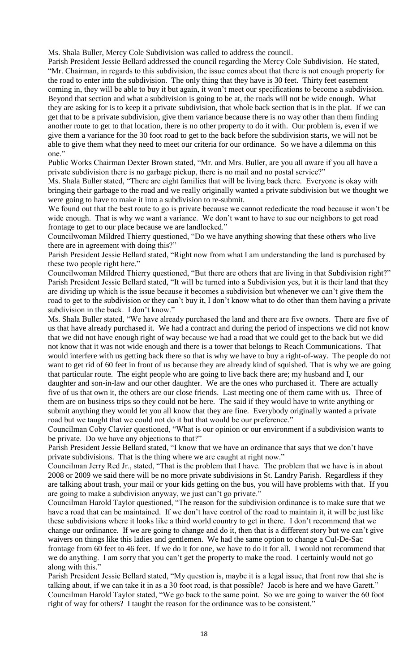Ms. Shala Buller, Mercy Cole Subdivision was called to address the council.

Parish President Jessie Bellard addressed the council regarding the Mercy Cole Subdivision. He stated, "Mr. Chairman, in regards to this subdivision, the issue comes about that there is not enough property for the road to enter into the subdivision. The only thing that they have is 30 feet. Thirty feet easement coming in, they will be able to buy it but again, it won't meet our specifications to become a subdivision. Beyond that section and what a subdivision is going to be at, the roads will not be wide enough. What they are asking for is to keep it a private subdivision, that whole back section that is in the plat. If we can get that to be a private subdivision, give them variance because there is no way other than them finding another route to get to that location, there is no other property to do it with. Our problem is, even if we give them a variance for the 30 foot road to get to the back before the subdivision starts, we will not be able to give them what they need to meet our criteria for our ordinance. So we have a dilemma on this one."

Public Works Chairman Dexter Brown stated, "Mr. and Mrs. Buller, are you all aware if you all have a private subdivision there is no garbage pickup, there is no mail and no postal service?"

Ms. Shala Buller stated, "There are eight families that will be living back there. Everyone is okay with bringing their garbage to the road and we really originally wanted a private subdivision but we thought we were going to have to make it into a subdivision to re-submit.

We found out that the best route to go is private because we cannot rededicate the road because it won't be wide enough. That is why we want a variance. We don't want to have to sue our neighbors to get road frontage to get to our place because we are landlocked."

Councilwoman Mildred Thierry questioned, "Do we have anything showing that these others who live there are in agreement with doing this?"

Parish President Jessie Bellard stated, "Right now from what I am understanding the land is purchased by these two people right here."

Councilwoman Mildred Thierry questioned, "But there are others that are living in that Subdivision right?" Parish President Jessie Bellard stated, "It will be turned into a Subdivision yes, but it is their land that they are dividing up which is the issue because it becomes a subdivision but whenever we can't give them the road to get to the subdivision or they can't buy it, I don't know what to do other than them having a private subdivision in the back. I don't know."

Ms. Shala Buller stated, "We have already purchased the land and there are five owners. There are five of us that have already purchased it. We had a contract and during the period of inspections we did not know that we did not have enough right of way because we had a road that we could get to the back but we did not know that it was not wide enough and there is a tower that belongs to Reach Communications. That would interfere with us getting back there so that is why we have to buy a right-of-way. The people do not want to get rid of 60 feet in front of us because they are already kind of squished. That is why we are going that particular route. The eight people who are going to live back there are; my husband and I, our daughter and son-in-law and our other daughter. We are the ones who purchased it. There are actually five of us that own it, the others are our close friends. Last meeting one of them came with us. Three of them are on business trips so they could not be here. The said if they would have to write anything or submit anything they would let you all know that they are fine. Everybody originally wanted a private road but we taught that we could not do it but that would be our preference."

Councilman Coby Clavier questioned, "What is our opinion or our environment if a subdivision wants to be private. Do we have any objections to that?"

Parish President Jessie Bellard stated, "I know that we have an ordinance that says that we don't have private subdivisions. That is the thing where we are caught at right now."

Councilman Jerry Red Jr., stated, "That is the problem that I have. The problem that we have is in about 2008 or 2009 we said there will be no more private subdivisions in St. Landry Parish. Regardless if they are talking about trash, your mail or your kids getting on the bus, you will have problems with that. If you are going to make a subdivision anyway, we just can't go private."

Councilman Harold Taylor questioned, "The reason for the subdivision ordinance is to make sure that we have a road that can be maintained. If we don't have control of the road to maintain it, it will be just like these subdivisions where it looks like a third world country to get in there. I don't recommend that we change our ordinance. If we are going to change and do it, then that is a different story but we can't give waivers on things like this ladies and gentlemen. We had the same option to change a Cul-De-Sac frontage from 60 feet to 46 feet. If we do it for one, we have to do it for all. I would not recommend that we do anything. I am sorry that you can't get the property to make the road. I certainly would not go along with this.'

Parish President Jessie Bellard stated, "My question is, maybe it is a legal issue, that front row that she is talking about, if we can take it in as a 30 foot road, is that possible? Jacob is here and we have Garett." Councilman Harold Taylor stated, "We go back to the same point. So we are going to waiver the 60 foot right of way for others? I taught the reason for the ordinance was to be consistent."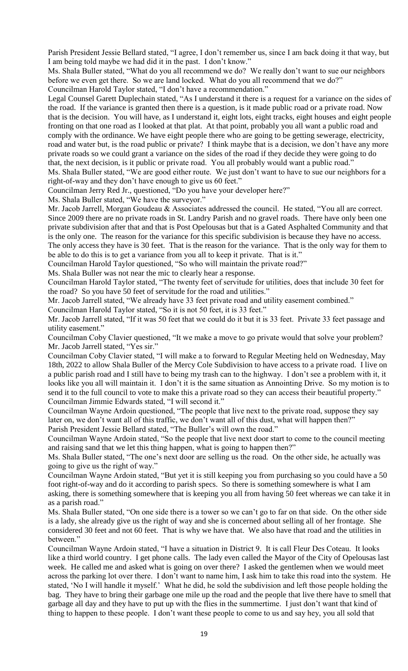Parish President Jessie Bellard stated, "I agree, I don't remember us, since I am back doing it that way, but I am being told maybe we had did it in the past. I don't know."

Ms. Shala Buller stated, "What do you all recommend we do? We really don't want to sue our neighbors before we even get there. So we are land locked. What do you all recommend that we do?" Councilman Harold Taylor stated, "I don't have a recommendation."

Legal Counsel Garett Duplechain stated, "As I understand it there is a request for a variance on the sides of the road. If the variance is granted then there is a question, is it made public road or a private road. Now that is the decision. You will have, as I understand it, eight lots, eight tracks, eight houses and eight people fronting on that one road as I looked at that plat. At that point, probably you all want a public road and comply with the ordinance. We have eight people there who are going to be getting sewerage, electricity, road and water but, is the road public or private? I think maybe that is a decision, we don't have any more private roads so we could grant a variance on the sides of the road if they decide they were going to do that, the next decision, is it public or private road. You all probably would want a public road."

Ms. Shala Buller stated, "We are good either route. We just don't want to have to sue our neighbors for a right-of-way and they don't have enough to give us 60 feet."

Councilman Jerry Red Jr., questioned, "Do you have your developer here?"

Ms. Shala Buller stated, "We have the surveyor."

Mr. Jacob Jarrell, Morgan Goudeau & Associates addressed the council. He stated, "You all are correct. Since 2009 there are no private roads in St. Landry Parish and no gravel roads. There have only been one private subdivision after that and that is Post Opelousas but that is a Gated Asphalted Community and that is the only one. The reason for the variance for this specific subdivision is because they have no access. The only access they have is 30 feet. That is the reason for the variance. That is the only way for them to be able to do this is to get a variance from you all to keep it private. That is it."

Councilman Harold Taylor questioned, "So who will maintain the private road?"

Ms. Shala Buller was not near the mic to clearly hear a response.

Councilman Harold Taylor stated, "The twenty feet of servitude for utilities, does that include 30 feet for the road? So you have 50 feet of servitude for the road and utilities."

Mr. Jacob Jarrell stated, "We already have 33 feet private road and utility easement combined."

Councilman Harold Taylor stated, "So it is not 50 feet, it is 33 feet."

Mr. Jacob Jarrell stated, "If it was 50 feet that we could do it but it is 33 feet. Private 33 feet passage and utility easement."

Councilman Coby Clavier questioned, "It we make a move to go private would that solve your problem? Mr. Jacob Jarrell stated, "Yes sir."

Councilman Coby Clavier stated, "I will make a to forward to Regular Meeting held on Wednesday, May 18th, 2022 to allow Shala Buller of the Mercy Cole Subdivision to have access to a private road. I live on a public parish road and I still have to being my trash can to the highway. I don't see a problem with it, it looks like you all will maintain it. I don't it is the same situation as Annointing Drive. So my motion is to send it to the full council to vote to make this a private road so they can access their beautiful property." Councilman Jimmie Edwards stated, "I will second it."

Councilman Wayne Ardoin questioned, "The people that live next to the private road, suppose they say later on, we don't want all of this traffic, we don't want all of this dust, what will happen then?" Parish President Jessie Bellard stated, "The Buller's will own the road."

Councilman Wayne Ardoin stated, "So the people that live next door start to come to the council meeting and raising sand that we let this thing happen, what is going to happen then?"

Ms. Shala Buller stated, "The one's next door are selling us the road. On the other side, he actually was going to give us the right of way."

Councilman Wayne Ardoin stated, "But yet it is still keeping you from purchasing so you could have a 50 foot right-of-way and do it according to parish specs. So there is something somewhere is what I am asking, there is something somewhere that is keeping you all from having 50 feet whereas we can take it in as a parish road."

Ms. Shala Buller stated, "On one side there is a tower so we can't go to far on that side. On the other side is a lady, she already give us the right of way and she is concerned about selling all of her frontage. She considered 30 feet and not 60 feet. That is why we have that. We also have that road and the utilities in between."

Councilman Wayne Ardoin stated, "I have a situation in District 9. It is call Fleur Des Coteau. It looks like a third world country. I get phone calls. The lady even called the Mayor of the City of Opelousas last week. He called me and asked what is going on over there? I asked the gentlemen when we would meet across the parking lot over there. I don't want to name him, I ask him to take this road into the system. He stated, 'No I will handle it myself.' What he did, he sold the subdivision and left those people holding the bag. They have to bring their garbage one mile up the road and the people that live there have to smell that garbage all day and they have to put up with the flies in the summertime. I just don't want that kind of thing to happen to these people. I don't want these people to come to us and say hey, you all sold that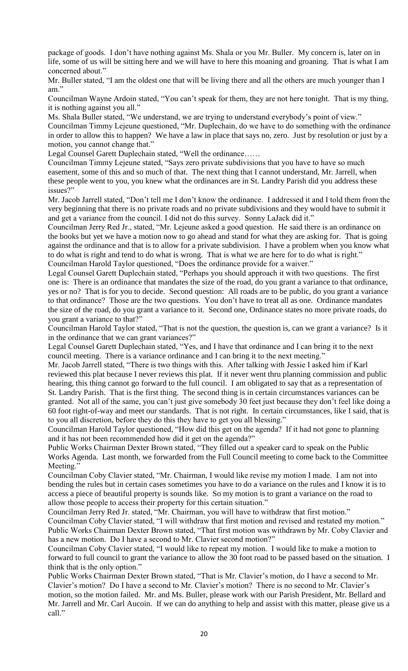package of goods. I don't have nothing against Ms. Shala or you Mr. Buller. My concern is, later on in life, some of us will be sitting here and we will have to here this moaning and groaning. That is what I am concerned about."

Mr. Buller stated, "I am the oldest one that will be living there and all the others are much younger than I am."

Councilman Wayne Ardoin stated, "You can't speak for them, they are not here tonight. That is my thing, it is nothing against you all."

Ms. Shala Buller stated, "We understand, we are trying to understand everybody's point of view." Councilman Timmy Lejeune questioned, "Mr. Duplechain, do we have to do something with the ordinance in order to allow this to happen? We have a law in place that says no, zero. Just by resolution or just by a motion, you cannot change that."

Legal Counsel Garett Duplechain stated, "Well the ordinance……

Councilman Timmy Lejeune stated, "Says zero private subdivisions that you have to have so much easement, some of this and so much of that. The next thing that I cannot understand, Mr. Jarrell, when these people went to you, you knew what the ordinances are in St. Landry Parish did you address these issues?"

Mr. Jacob Jarrell stated, "Don't tell me I don't know the ordinance. I addressed it and I told them from the very beginning that there is no private roads and no private subdivisions and they would have to submit it and get a variance from the council. I did not do this survey. Sonny LaJack did it."

Councilman Jerry Red Jr., stated, "Mr. Lejeune asked a good question. He said there is an ordinance on the books but yet we have a motion now to go ahead and stand for what they are asking for. That is going against the ordinance and that is to allow for a private subdivision. I have a problem when you know what to do what is right and tend to do what is wrong. That is what we are here for to do what is right." Councilman Harold Taylor questioned, "Does the ordinance provide for a waiver."

Legal Counsel Garett Duplechain stated, "Perhaps you should approach it with two questions. The first one is: There is an ordinance that mandates the size of the road, do you grant a variance to that ordinance, yes or no? That is for you to decide. Second question: All roads are to be public, do you grant a variance to that ordinance? Those are the two questions. You don't have to treat all as one. Ordinance mandates the size of the road, do you grant a variance to it. Second one, Ordinance states no more private roads, do you grant a variance to that?"

Councilman Harold Taylor stated, "That is not the question, the question is, can we grant a variance? Is it in the ordinance that we can grant variances?"

Legal Counsel Garett Duplechain stated, "Yes, and I have that ordinance and I can bring it to the next council meeting. There is a variance ordinance and I can bring it to the next meeting."

Mr. Jacob Jarrell stated, "There is two things with this. After talking with Jessie I asked him if Karl reviewed this plat because I never reviews this plat. If it never went thru planning commission and public hearing, this thing cannot go forward to the full council. I am obligated to say that as a representation of St. Landry Parish. That is the first thing. The second thing is in certain circumstances variances can be granted. Not all of the same, you can't just give somebody 30 feet just because they don't feel like doing a 60 foot right-of-way and meet our standards. That is not right. In certain circumstances, like I said, that is to you all discretion, before they do this they have to get you all blessing."

Councilman Harold Taylor questioned, "How did this get on the agenda? If it had not gone to planning and it has not been recommended how did it get on the agenda?"

Public Works Chairman Dexter Brown stated, "They filled out a speaker card to speak on the Public Works Agenda. Last month, we forwarded from the Full Council meeting to come back to the Committee Meeting."

Councilman Coby Clavier stated, "Mr. Chairman, I would like revise my motion I made. I am not into bending the rules but in certain cases sometimes you have to do a variance on the rules and I know it is to access a piece of beautiful property is sounds like. So my motion is to grant a variance on the road to allow those people to access their property for this certain situation."

Councilman Jerry Red Jr. stated, "Mr. Chairman, you will have to withdraw that first motion."

Councilman Coby Clavier stated, "I will withdraw that first motion and revised and restated my motion." Public Works Chairman Dexter Brown stated, "That first motion was withdrawn by Mr. Coby Clavier and has a new motion. Do I have a second to Mr. Clavier second motion?"

Councilman Coby Clavier stated, "I would like to repeat my motion. I would like to make a motion to forward to full council to grant the variance to allow the 30 foot road to be passed based on the situation. I think that is the only option."

Public Works Chairman Dexter Brown stated, "That is Mr. Clavier's motion, do I have a second to Mr. Clavier's motion? Do I have a second to Mr. Clavier's motion? There is no second to Mr. Clavier's motion, so the motion failed. Mr. and Ms. Buller, please work with our Parish President, Mr. Bellard and Mr. Jarrell and Mr. Carl Aucoin. If we can do anything to help and assist with this matter, please give us a call."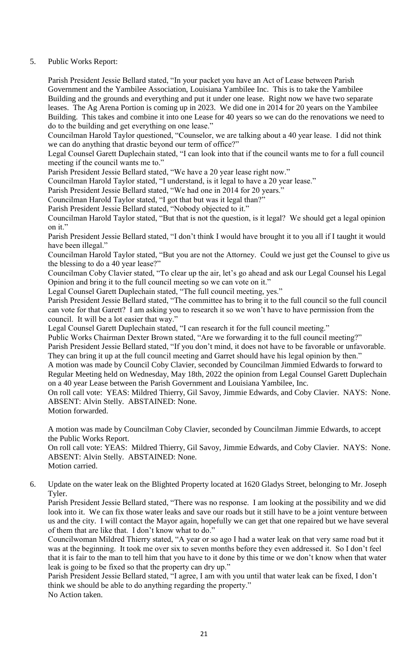# 5. Public Works Report:

Parish President Jessie Bellard stated, "In your packet you have an Act of Lease between Parish Government and the Yambilee Association, Louisiana Yambilee Inc. This is to take the Yambilee Building and the grounds and everything and put it under one lease. Right now we have two separate leases. The Ag Arena Portion is coming up in 2023. We did one in 2014 for 20 years on the Yambilee Building. This takes and combine it into one Lease for 40 years so we can do the renovations we need to do to the building and get everything on one lease."

Councilman Harold Taylor questioned, "Counselor, we are talking about a 40 year lease. I did not think we can do anything that drastic beyond our term of office?"

Legal Counsel Garett Duplechain stated, "I can look into that if the council wants me to for a full council meeting if the council wants me to."

Parish President Jessie Bellard stated, "We have a 20 year lease right now."

Councilman Harold Taylor stated, "I understand, is it legal to have a 20 year lease."

Parish President Jessie Bellard stated, "We had one in 2014 for 20 years."

Councilman Harold Taylor stated, "I got that but was it legal than?"

Parish President Jessie Bellard stated, "Nobody objected to it."

Councilman Harold Taylor stated, "But that is not the question, is it legal? We should get a legal opinion on it."

Parish President Jessie Bellard stated, "I don't think I would have brought it to you all if I taught it would have been illegal."

Councilman Harold Taylor stated, "But you are not the Attorney. Could we just get the Counsel to give us the blessing to do a 40 year lease?"

Councilman Coby Clavier stated, "To clear up the air, let's go ahead and ask our Legal Counsel his Legal Opinion and bring it to the full council meeting so we can vote on it."

Legal Counsel Garett Duplechain stated, "The full council meeting, yes."

Parish President Jessie Bellard stated, "The committee has to bring it to the full council so the full council can vote for that Garett? I am asking you to research it so we won't have to have permission from the council. It will be a lot easier that way."

Legal Counsel Garett Duplechain stated, "I can research it for the full council meeting."

Public Works Chairman Dexter Brown stated, "Are we forwarding it to the full council meeting?"

Parish President Jessie Bellard stated, "If you don't mind, it does not have to be favorable or unfavorable. They can bring it up at the full council meeting and Garret should have his legal opinion by then."

A motion was made by Council Coby Clavier, seconded by Councilman Jimmied Edwards to forward to Regular Meeting held on Wednesday, May 18th, 2022 the opinion from Legal Counsel Garett Duplechain on a 40 year Lease between the Parish Government and Louisiana Yambilee, Inc.

On roll call vote: YEAS: Mildred Thierry, Gil Savoy, Jimmie Edwards, and Coby Clavier. NAYS: None. ABSENT: Alvin Stelly. ABSTAINED: None.

Motion forwarded.

A motion was made by Councilman Coby Clavier, seconded by Councilman Jimmie Edwards, to accept the Public Works Report.

On roll call vote: YEAS: Mildred Thierry, Gil Savoy, Jimmie Edwards, and Coby Clavier. NAYS: None. ABSENT: Alvin Stelly. ABSTAINED: None.

- Motion carried.
- 6. Update on the water leak on the Blighted Property located at 1620 Gladys Street, belonging to Mr. Joseph Tyler.

Parish President Jessie Bellard stated, "There was no response. I am looking at the possibility and we did look into it. We can fix those water leaks and save our roads but it still have to be a joint venture between us and the city. I will contact the Mayor again, hopefully we can get that one repaired but we have several of them that are like that. I don't know what to do."

Councilwoman Mildred Thierry stated, "A year or so ago I had a water leak on that very same road but it was at the beginning. It took me over six to seven months before they even addressed it. So I don't feel that it is fair to the man to tell him that you have to it done by this time or we don't know when that water leak is going to be fixed so that the property can dry up."

Parish President Jessie Bellard stated, "I agree, I am with you until that water leak can be fixed, I don't think we should be able to do anything regarding the property." No Action taken.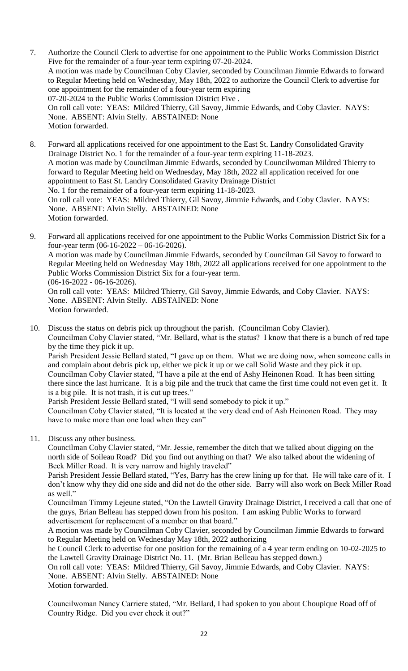- 7. Authorize the Council Clerk to advertise for one appointment to the Public Works Commission District Five for the remainder of a four-year term expiring 07-20-2024. A motion was made by Councilman Coby Clavier, seconded by Councilman Jimmie Edwards to forward to Regular Meeting held on Wednesday, May 18th, 2022 to authorize the Council Clerk to advertise for one appointment for the remainder of a four-year term expiring 07-20-2024 to the Public Works Commission District Five . On roll call vote: YEAS: Mildred Thierry, Gil Savoy, Jimmie Edwards, and Coby Clavier. NAYS: None. ABSENT: Alvin Stelly. ABSTAINED: None Motion forwarded.
- 8. Forward all applications received for one appointment to the East St. Landry Consolidated Gravity Drainage District No. 1 for the remainder of a four-year term expiring 11-18-2023. A motion was made by Councilman Jimmie Edwards, seconded by Councilwoman Mildred Thierry to forward to Regular Meeting held on Wednesday, May 18th, 2022 all application received for one appointment to East St. Landry Consolidated Gravity Drainage District No. 1 for the remainder of a four-year term expiring 11-18-2023. On roll call vote: YEAS: Mildred Thierry, Gil Savoy, Jimmie Edwards, and Coby Clavier. NAYS: None. ABSENT: Alvin Stelly. ABSTAINED: None Motion forwarded.
- 9. Forward all applications received for one appointment to the Public Works Commission District Six for a four-year term (06-16-2022 – 06-16-2026). A motion was made by Councilman Jimmie Edwards, seconded by Councilman Gil Savoy to forward to Regular Meeting held on Wednesday May 18th, 2022 all applications received for one appointment to the Public Works Commission District Six for a four-year term. (06-16-2022 - 06-16-2026). On roll call vote: YEAS: Mildred Thierry, Gil Savoy, Jimmie Edwards, and Coby Clavier. NAYS: None. ABSENT: Alvin Stelly. ABSTAINED: None Motion forwarded.
- 10. Discuss the status on debris pick up throughout the parish. (Councilman Coby Clavier). Councilman Coby Clavier stated, "Mr. Bellard, what is the status? I know that there is a bunch of red tape by the time they pick it up. Parish President Jessie Bellard stated, "I gave up on them. What we are doing now, when someone calls in

and complain about debris pick up, either we pick it up or we call Solid Waste and they pick it up. Councilman Coby Clavier stated, "I have a pile at the end of Ashy Heinonen Road. It has been sitting there since the last hurricane. It is a big pile and the truck that came the first time could not even get it. It is a big pile. It is not trash, it is cut up trees."

Parish President Jessie Bellard stated, "I will send somebody to pick it up."

Councilman Coby Clavier stated, "It is located at the very dead end of Ash Heinonen Road. They may have to make more than one load when they can"

11. Discuss any other business.

Councilman Coby Clavier stated, "Mr. Jessie, remember the ditch that we talked about digging on the north side of Soileau Road? Did you find out anything on that? We also talked about the widening of Beck Miller Road. It is very narrow and highly traveled"

Parish President Jessie Bellard stated, "Yes, Barry has the crew lining up for that. He will take care of it. I don't know why they did one side and did not do the other side. Barry will also work on Beck Miller Road as well."

Councilman Timmy Lejeune stated, "On the Lawtell Gravity Drainage District, I received a call that one of the guys, Brian Belleau has stepped down from his positon. I am asking Public Works to forward advertisement for replacement of a member on that board."

A motion was made by Councilman Coby Clavier, seconded by Councilman Jimmie Edwards to forward to Regular Meeting held on Wednesday May 18th, 2022 authorizing

he Council Clerk to advertise for one position for the remaining of a 4 year term ending on 10-02-2025 to the Lawtell Gravity Drainage District No. 11. (Mr. Brian Belleau has stepped down.)

On roll call vote: YEAS: Mildred Thierry, Gil Savoy, Jimmie Edwards, and Coby Clavier. NAYS: None. ABSENT: Alvin Stelly. ABSTAINED: None Motion forwarded.

Councilwoman Nancy Carriere stated, "Mr. Bellard, I had spoken to you about Choupique Road off of Country Ridge. Did you ever check it out?"